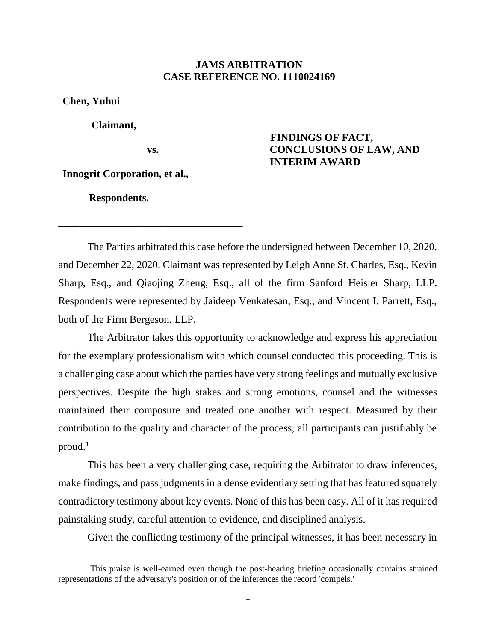## **JAMS ARBITRATION CASE REFERENCE NO. 1110024169**

**Chen, Yuhui**

 $\overline{a}$ 

 **Claimant,**

**vs.**

\_\_\_\_\_\_\_\_\_\_\_\_\_\_\_\_\_\_\_\_\_\_\_\_\_\_\_\_\_\_\_\_\_\_\_

# **FINDINGS OF FACT, CONCLUSIONS OF LAW, AND INTERIM AWARD**

**Innogrit Corporation, et al.,**

 **Respondents.**

The Parties arbitrated this case before the undersigned between December 10, 2020, and December 22, 2020. Claimant was represented by Leigh Anne St. Charles, Esq., Kevin Sharp, Esq., and Qiaojing Zheng, Esq., all of the firm Sanford Heisler Sharp, LLP. Respondents were represented by Jaideep Venkatesan, Esq., and Vincent I. Parrett, Esq., both of the Firm Bergeson, LLP.

The Arbitrator takes this opportunity to acknowledge and express his appreciation for the exemplary professionalism with which counsel conducted this proceeding. This is a challenging case about which the parties have very strong feelings and mutually exclusive perspectives. Despite the high stakes and strong emotions, counsel and the witnesses maintained their composure and treated one another with respect. Measured by their contribution to the quality and character of the process, all participants can justifiably be proud.<sup>1</sup>

This has been a very challenging case, requiring the Arbitrator to draw inferences, make findings, and pass judgments in a dense evidentiary setting that has featured squarely contradictory testimony about key events. None of this has been easy. All of it has required painstaking study, careful attention to evidence, and disciplined analysis.

Given the conflicting testimony of the principal witnesses, it has been necessary in

<sup>1</sup>This praise is well-earned even though the post-hearing briefing occasionally contains strained representations of the adversary's position or of the inferences the record 'compels.'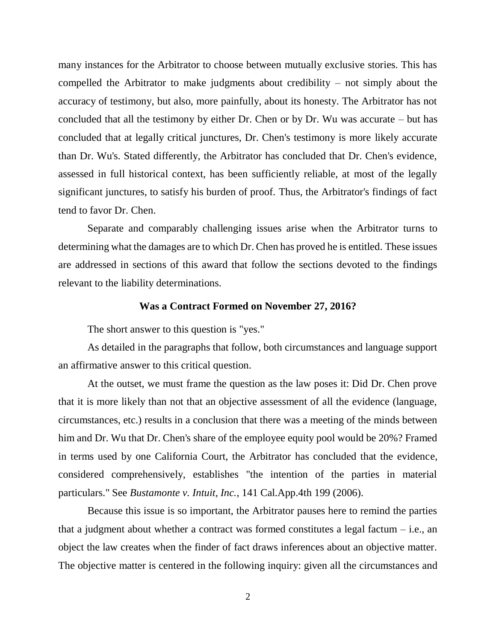many instances for the Arbitrator to choose between mutually exclusive stories. This has compelled the Arbitrator to make judgments about credibility – not simply about the accuracy of testimony, but also, more painfully, about its honesty. The Arbitrator has not concluded that all the testimony by either Dr. Chen or by Dr. Wu was accurate – but has concluded that at legally critical junctures, Dr. Chen's testimony is more likely accurate than Dr. Wu's. Stated differently, the Arbitrator has concluded that Dr. Chen's evidence, assessed in full historical context, has been sufficiently reliable, at most of the legally significant junctures, to satisfy his burden of proof. Thus, the Arbitrator's findings of fact tend to favor Dr. Chen.

Separate and comparably challenging issues arise when the Arbitrator turns to determining what the damages are to which Dr. Chen has proved he is entitled. These issues are addressed in sections of this award that follow the sections devoted to the findings relevant to the liability determinations.

#### **Was a Contract Formed on November 27, 2016?**

The short answer to this question is "yes."

As detailed in the paragraphs that follow, both circumstances and language support an affirmative answer to this critical question.

At the outset, we must frame the question as the law poses it: Did Dr. Chen prove that it is more likely than not that an objective assessment of all the evidence (language, circumstances, etc.) results in a conclusion that there was a meeting of the minds between him and Dr. Wu that Dr. Chen's share of the employee equity pool would be 20%? Framed in terms used by one California Court, the Arbitrator has concluded that the evidence, considered comprehensively, establishes "the intention of the parties in material particulars." See *Bustamonte v. Intuit, Inc.*, 141 Cal.App.4th 199 (2006).

Because this issue is so important, the Arbitrator pauses here to remind the parties that a judgment about whether a contract was formed constitutes a legal factum  $-$  i.e., an object the law creates when the finder of fact draws inferences about an objective matter. The objective matter is centered in the following inquiry: given all the circumstances and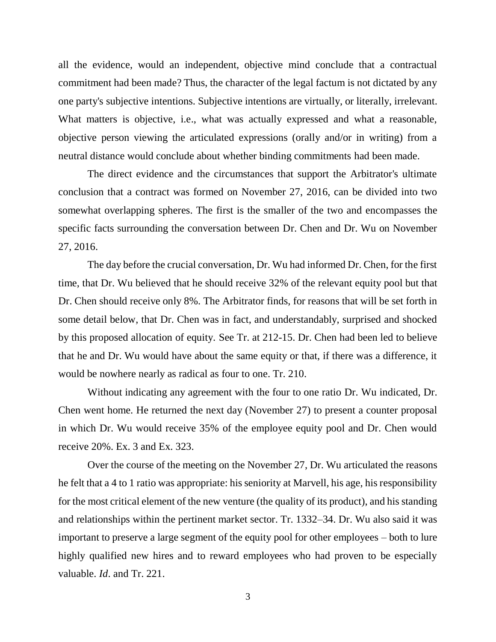all the evidence, would an independent, objective mind conclude that a contractual commitment had been made? Thus, the character of the legal factum is not dictated by any one party's subjective intentions. Subjective intentions are virtually, or literally, irrelevant. What matters is objective, i.e., what was actually expressed and what a reasonable, objective person viewing the articulated expressions (orally and/or in writing) from a neutral distance would conclude about whether binding commitments had been made.

The direct evidence and the circumstances that support the Arbitrator's ultimate conclusion that a contract was formed on November 27, 2016, can be divided into two somewhat overlapping spheres. The first is the smaller of the two and encompasses the specific facts surrounding the conversation between Dr. Chen and Dr. Wu on November 27, 2016.

The day before the crucial conversation, Dr. Wu had informed Dr. Chen, for the first time, that Dr. Wu believed that he should receive 32% of the relevant equity pool but that Dr. Chen should receive only 8%. The Arbitrator finds, for reasons that will be set forth in some detail below, that Dr. Chen was in fact, and understandably, surprised and shocked by this proposed allocation of equity. See Tr. at 212-15. Dr. Chen had been led to believe that he and Dr. Wu would have about the same equity or that, if there was a difference, it would be nowhere nearly as radical as four to one. Tr. 210.

Without indicating any agreement with the four to one ratio Dr. Wu indicated, Dr. Chen went home. He returned the next day (November 27) to present a counter proposal in which Dr. Wu would receive 35% of the employee equity pool and Dr. Chen would receive 20%. Ex. 3 and Ex. 323.

Over the course of the meeting on the November 27, Dr. Wu articulated the reasons he felt that a 4 to 1 ratio was appropriate: his seniority at Marvell, his age, his responsibility for the most critical element of the new venture (the quality of its product), and his standing and relationships within the pertinent market sector. Tr. 1332–34. Dr. Wu also said it was important to preserve a large segment of the equity pool for other employees – both to lure highly qualified new hires and to reward employees who had proven to be especially valuable. *Id*. and Tr. 221.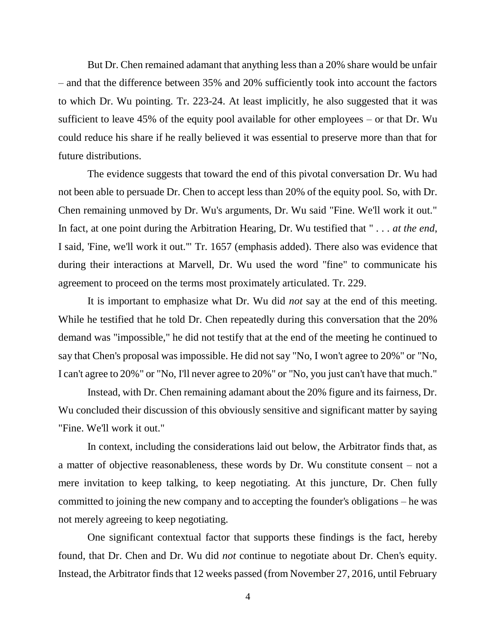But Dr. Chen remained adamant that anything less than a 20% share would be unfair – and that the difference between 35% and 20% sufficiently took into account the factors to which Dr. Wu pointing. Tr. 223-24. At least implicitly, he also suggested that it was sufficient to leave 45% of the equity pool available for other employees – or that Dr. Wu could reduce his share if he really believed it was essential to preserve more than that for future distributions.

The evidence suggests that toward the end of this pivotal conversation Dr. Wu had not been able to persuade Dr. Chen to accept less than 20% of the equity pool. So, with Dr. Chen remaining unmoved by Dr. Wu's arguments, Dr. Wu said "Fine. We'll work it out." In fact, at one point during the Arbitration Hearing, Dr. Wu testified that " . . . *at the end*, I said, 'Fine, we'll work it out.'" Tr. 1657 (emphasis added). There also was evidence that during their interactions at Marvell, Dr. Wu used the word "fine" to communicate his agreement to proceed on the terms most proximately articulated. Tr. 229.

It is important to emphasize what Dr. Wu did *not* say at the end of this meeting. While he testified that he told Dr. Chen repeatedly during this conversation that the 20% demand was "impossible," he did not testify that at the end of the meeting he continued to say that Chen's proposal was impossible. He did not say "No, I won't agree to 20%" or "No, I can't agree to 20%" or "No, I'll never agree to 20%" or "No, you just can't have that much."

Instead, with Dr. Chen remaining adamant about the 20% figure and its fairness, Dr. Wu concluded their discussion of this obviously sensitive and significant matter by saying "Fine. We'll work it out."

In context, including the considerations laid out below, the Arbitrator finds that, as a matter of objective reasonableness, these words by Dr. Wu constitute consent – not a mere invitation to keep talking, to keep negotiating. At this juncture, Dr. Chen fully committed to joining the new company and to accepting the founder's obligations – he was not merely agreeing to keep negotiating.

One significant contextual factor that supports these findings is the fact, hereby found, that Dr. Chen and Dr. Wu did *not* continue to negotiate about Dr. Chen's equity. Instead, the Arbitrator finds that 12 weeks passed (from November 27, 2016, until February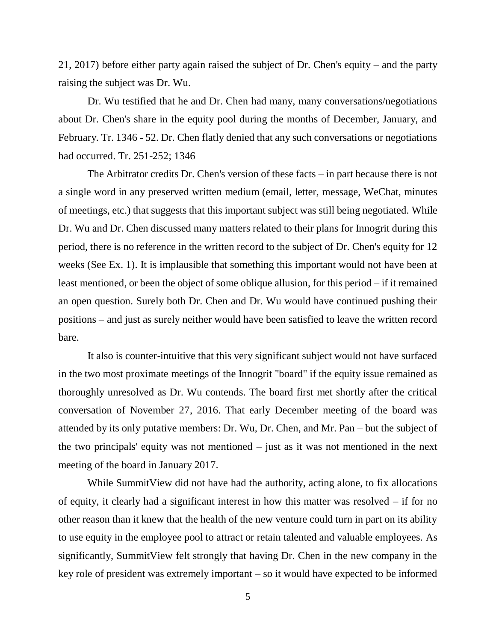21, 2017) before either party again raised the subject of Dr. Chen's equity – and the party raising the subject was Dr. Wu.

Dr. Wu testified that he and Dr. Chen had many, many conversations/negotiations about Dr. Chen's share in the equity pool during the months of December, January, and February. Tr. 1346 - 52. Dr. Chen flatly denied that any such conversations or negotiations had occurred. Tr. 251-252; 1346

The Arbitrator credits Dr. Chen's version of these facts – in part because there is not a single word in any preserved written medium (email, letter, message, WeChat, minutes of meetings, etc.) that suggests that this important subject was still being negotiated. While Dr. Wu and Dr. Chen discussed many matters related to their plans for Innogrit during this period, there is no reference in the written record to the subject of Dr. Chen's equity for 12 weeks (See Ex. 1). It is implausible that something this important would not have been at least mentioned, or been the object of some oblique allusion, for this period – if it remained an open question. Surely both Dr. Chen and Dr. Wu would have continued pushing their positions – and just as surely neither would have been satisfied to leave the written record bare.

It also is counter-intuitive that this very significant subject would not have surfaced in the two most proximate meetings of the Innogrit "board" if the equity issue remained as thoroughly unresolved as Dr. Wu contends. The board first met shortly after the critical conversation of November 27, 2016. That early December meeting of the board was attended by its only putative members: Dr. Wu, Dr. Chen, and Mr. Pan – but the subject of the two principals' equity was not mentioned – just as it was not mentioned in the next meeting of the board in January 2017.

While SummitView did not have had the authority, acting alone, to fix allocations of equity, it clearly had a significant interest in how this matter was resolved – if for no other reason than it knew that the health of the new venture could turn in part on its ability to use equity in the employee pool to attract or retain talented and valuable employees. As significantly, SummitView felt strongly that having Dr. Chen in the new company in the key role of president was extremely important – so it would have expected to be informed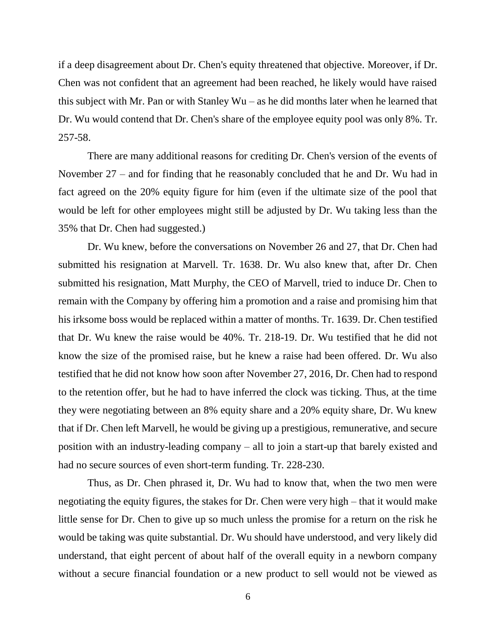if a deep disagreement about Dr. Chen's equity threatened that objective. Moreover, if Dr. Chen was not confident that an agreement had been reached, he likely would have raised this subject with Mr. Pan or with Stanley Wu – as he did months later when he learned that Dr. Wu would contend that Dr. Chen's share of the employee equity pool was only 8%. Tr. 257-58.

There are many additional reasons for crediting Dr. Chen's version of the events of November 27 – and for finding that he reasonably concluded that he and Dr. Wu had in fact agreed on the 20% equity figure for him (even if the ultimate size of the pool that would be left for other employees might still be adjusted by Dr. Wu taking less than the 35% that Dr. Chen had suggested.)

Dr. Wu knew, before the conversations on November 26 and 27, that Dr. Chen had submitted his resignation at Marvell. Tr. 1638. Dr. Wu also knew that, after Dr. Chen submitted his resignation, Matt Murphy, the CEO of Marvell, tried to induce Dr. Chen to remain with the Company by offering him a promotion and a raise and promising him that his irksome boss would be replaced within a matter of months. Tr. 1639. Dr. Chen testified that Dr. Wu knew the raise would be 40%. Tr. 218-19. Dr. Wu testified that he did not know the size of the promised raise, but he knew a raise had been offered. Dr. Wu also testified that he did not know how soon after November 27, 2016, Dr. Chen had to respond to the retention offer, but he had to have inferred the clock was ticking. Thus, at the time they were negotiating between an 8% equity share and a 20% equity share, Dr. Wu knew that if Dr. Chen left Marvell, he would be giving up a prestigious, remunerative, and secure position with an industry-leading company – all to join a start-up that barely existed and had no secure sources of even short-term funding. Tr. 228-230.

Thus, as Dr. Chen phrased it, Dr. Wu had to know that, when the two men were negotiating the equity figures, the stakes for Dr. Chen were very high – that it would make little sense for Dr. Chen to give up so much unless the promise for a return on the risk he would be taking was quite substantial. Dr. Wu should have understood, and very likely did understand, that eight percent of about half of the overall equity in a newborn company without a secure financial foundation or a new product to sell would not be viewed as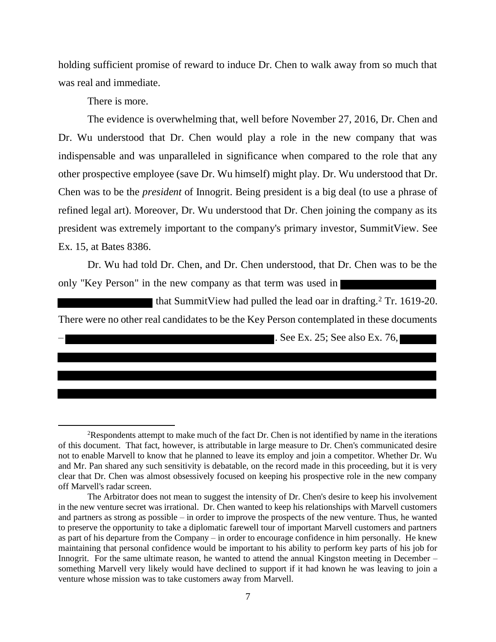holding sufficient promise of reward to induce Dr. Chen to walk away from so much that was real and immediate.

There is more.

 $\overline{a}$ 

The evidence is overwhelming that, well before November 27, 2016, Dr. Chen and Dr. Wu understood that Dr. Chen would play a role in the new company that was indispensable and was unparalleled in significance when compared to the role that any other prospective employee (save Dr. Wu himself) might play. Dr. Wu understood that Dr. Chen was to be the *president* of Innogrit. Being president is a big deal (to use a phrase of refined legal art). Moreover, Dr. Wu understood that Dr. Chen joining the company as its president was extremely important to the company's primary investor, SummitView. See Ex. 15, at Bates 8386.

Dr. Wu had told Dr. Chen, and Dr. Chen understood, that Dr. Chen was to be the only "Key Person" in the new company as that term was used in

that SummitView had pulled the lead oar in drafting.<sup>2</sup> Tr. 1619-20. There were no other real candidates to be the Key Person contemplated in these documents

– . See Ex. 25; See also Ex. 76,

<sup>2</sup>Respondents attempt to make much of the fact Dr. Chen is not identified by name in the iterations of this document. That fact, however, is attributable in large measure to Dr. Chen's communicated desire not to enable Marvell to know that he planned to leave its employ and join a competitor. Whether Dr. Wu and Mr. Pan shared any such sensitivity is debatable, on the record made in this proceeding, but it is very clear that Dr. Chen was almost obsessively focused on keeping his prospective role in the new company off Marvell's radar screen.

The Arbitrator does not mean to suggest the intensity of Dr. Chen's desire to keep his involvement in the new venture secret was irrational. Dr. Chen wanted to keep his relationships with Marvell customers and partners as strong as possible – in order to improve the prospects of the new venture. Thus, he wanted to preserve the opportunity to take a diplomatic farewell tour of important Marvell customers and partners as part of his departure from the Company – in order to encourage confidence in him personally. He knew maintaining that personal confidence would be important to his ability to perform key parts of his job for Innogrit. For the same ultimate reason, he wanted to attend the annual Kingston meeting in December – something Marvell very likely would have declined to support if it had known he was leaving to join a venture whose mission was to take customers away from Marvell.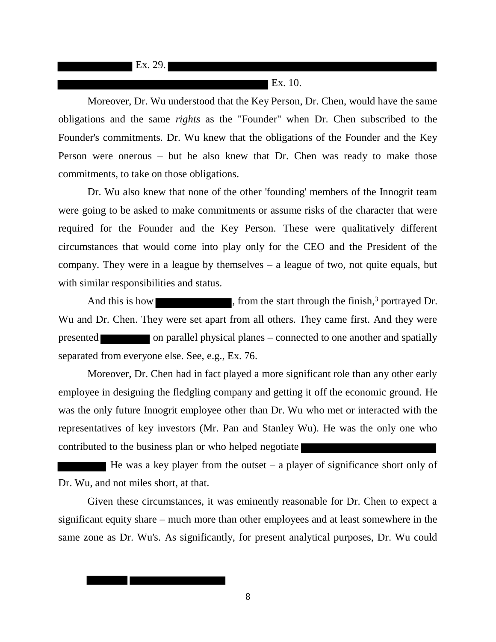**Ex. 29.** 

 $\overline{a}$ 

#### $\blacksquare$  Ex. 10.

Moreover, Dr. Wu understood that the Key Person, Dr. Chen, would have the same obligations and the same *rights* as the "Founder" when Dr. Chen subscribed to the Founder's commitments. Dr. Wu knew that the obligations of the Founder and the Key Person were onerous – but he also knew that Dr. Chen was ready to make those commitments, to take on those obligations.

Dr. Wu also knew that none of the other 'founding' members of the Innogrit team were going to be asked to make commitments or assume risks of the character that were required for the Founder and the Key Person. These were qualitatively different circumstances that would come into play only for the CEO and the President of the company. They were in a league by themselves – a league of two, not quite equals, but with similar responsibilities and status.

And this is how settled as the start through the finish,<sup>3</sup> portrayed Dr. Wu and Dr. Chen. They were set apart from all others. They came first. And they were presented on parallel physical planes – connected to one another and spatially separated from everyone else. See, e.g., Ex. 76.

Moreover, Dr. Chen had in fact played a more significant role than any other early employee in designing the fledgling company and getting it off the economic ground. He was the only future Innogrit employee other than Dr. Wu who met or interacted with the representatives of key investors (Mr. Pan and Stanley Wu). He was the only one who contributed to the business plan or who helped negotiate

He was a key player from the outset  $-$  a player of significance short only of Dr. Wu, and not miles short, at that.

Given these circumstances, it was eminently reasonable for Dr. Chen to expect a significant equity share – much more than other employees and at least somewhere in the same zone as Dr. Wu's. As significantly, for present analytical purposes, Dr. Wu could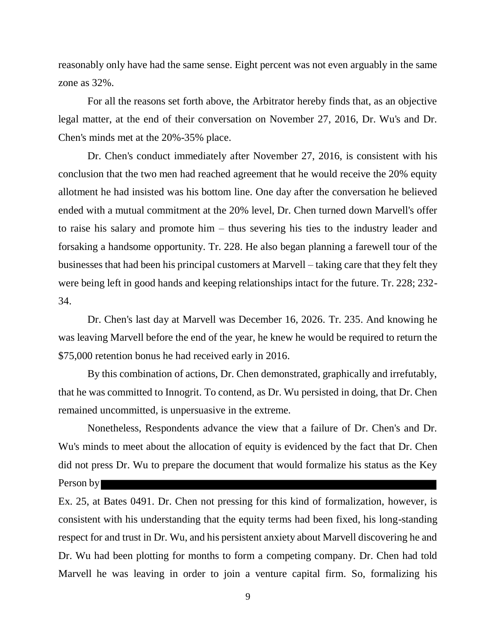reasonably only have had the same sense. Eight percent was not even arguably in the same zone as 32%.

For all the reasons set forth above, the Arbitrator hereby finds that, as an objective legal matter, at the end of their conversation on November 27, 2016, Dr. Wu's and Dr. Chen's minds met at the 20%-35% place.

Dr. Chen's conduct immediately after November 27, 2016, is consistent with his conclusion that the two men had reached agreement that he would receive the 20% equity allotment he had insisted was his bottom line. One day after the conversation he believed ended with a mutual commitment at the 20% level, Dr. Chen turned down Marvell's offer to raise his salary and promote him – thus severing his ties to the industry leader and forsaking a handsome opportunity. Tr. 228. He also began planning a farewell tour of the businesses that had been his principal customers at Marvell – taking care that they felt they were being left in good hands and keeping relationships intact for the future. Tr. 228; 232- 34.

Dr. Chen's last day at Marvell was December 16, 2026. Tr. 235. And knowing he was leaving Marvell before the end of the year, he knew he would be required to return the \$75,000 retention bonus he had received early in 2016.

By this combination of actions, Dr. Chen demonstrated, graphically and irrefutably, that he was committed to Innogrit. To contend, as Dr. Wu persisted in doing, that Dr. Chen remained uncommitted, is unpersuasive in the extreme.

Nonetheless, Respondents advance the view that a failure of Dr. Chen's and Dr. Wu's minds to meet about the allocation of equity is evidenced by the fact that Dr. Chen did not press Dr. Wu to prepare the document that would formalize his status as the Key Person by

Ex. 25, at Bates 0491. Dr. Chen not pressing for this kind of formalization, however, is consistent with his understanding that the equity terms had been fixed, his long-standing respect for and trust in Dr. Wu, and his persistent anxiety about Marvell discovering he and Dr. Wu had been plotting for months to form a competing company. Dr. Chen had told Marvell he was leaving in order to join a venture capital firm. So, formalizing his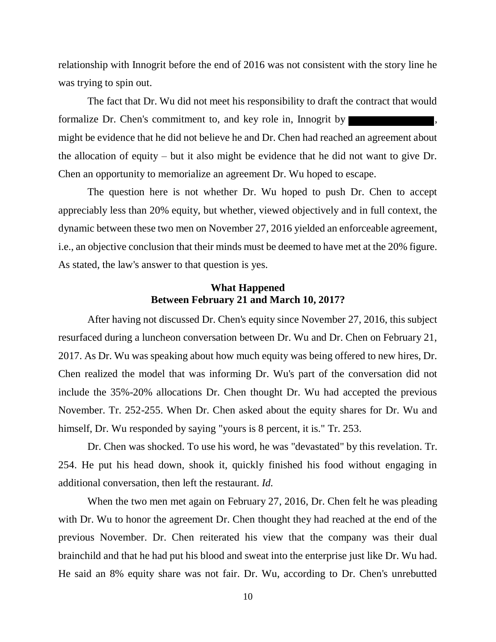relationship with Innogrit before the end of 2016 was not consistent with the story line he was trying to spin out.

The fact that Dr. Wu did not meet his responsibility to draft the contract that would formalize Dr. Chen's commitment to, and key role in, Innogrit by might be evidence that he did not believe he and Dr. Chen had reached an agreement about the allocation of equity – but it also might be evidence that he did not want to give Dr. Chen an opportunity to memorialize an agreement Dr. Wu hoped to escape.

The question here is not whether Dr. Wu hoped to push Dr. Chen to accept appreciably less than 20% equity, but whether, viewed objectively and in full context, the dynamic between these two men on November 27, 2016 yielded an enforceable agreement, i.e., an objective conclusion that their minds must be deemed to have met at the 20% figure. As stated, the law's answer to that question is yes.

# **What Happened Between February 21 and March 10, 2017?**

After having not discussed Dr. Chen's equity since November 27, 2016, this subject resurfaced during a luncheon conversation between Dr. Wu and Dr. Chen on February 21, 2017. As Dr. Wu was speaking about how much equity was being offered to new hires, Dr. Chen realized the model that was informing Dr. Wu's part of the conversation did not include the 35%-20% allocations Dr. Chen thought Dr. Wu had accepted the previous November. Tr. 252-255. When Dr. Chen asked about the equity shares for Dr. Wu and himself, Dr. Wu responded by saying "yours is 8 percent, it is." Tr. 253.

Dr. Chen was shocked. To use his word, he was "devastated" by this revelation. Tr. 254. He put his head down, shook it, quickly finished his food without engaging in additional conversation, then left the restaurant. *Id.*

When the two men met again on February 27, 2016, Dr. Chen felt he was pleading with Dr. Wu to honor the agreement Dr. Chen thought they had reached at the end of the previous November. Dr. Chen reiterated his view that the company was their dual brainchild and that he had put his blood and sweat into the enterprise just like Dr. Wu had. He said an 8% equity share was not fair. Dr. Wu, according to Dr. Chen's unrebutted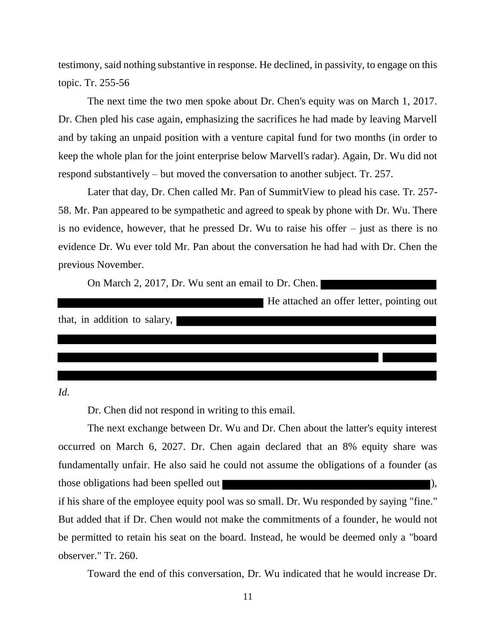testimony, said nothing substantive in response. He declined, in passivity, to engage on this topic. Tr. 255-56

The next time the two men spoke about Dr. Chen's equity was on March 1, 2017. Dr. Chen pled his case again, emphasizing the sacrifices he had made by leaving Marvell and by taking an unpaid position with a venture capital fund for two months (in order to keep the whole plan for the joint enterprise below Marvell's radar). Again, Dr. Wu did not respond substantively – but moved the conversation to another subject. Tr. 257.

Later that day, Dr. Chen called Mr. Pan of SummitView to plead his case. Tr. 257- 58. Mr. Pan appeared to be sympathetic and agreed to speak by phone with Dr. Wu. There is no evidence, however, that he pressed Dr. Wu to raise his offer – just as there is no evidence Dr. Wu ever told Mr. Pan about the conversation he had had with Dr. Chen the previous November.

On March 2, 2017, Dr. Wu sent an email to Dr. Chen.

|                              | He attached an offer letter, pointing out |
|------------------------------|-------------------------------------------|
| that, in addition to salary, |                                           |
|                              |                                           |
|                              |                                           |
|                              |                                           |

*Id.*

observer." Tr. 260.

Dr. Chen did not respond in writing to this email.

The next exchange between Dr. Wu and Dr. Chen about the latter's equity interest occurred on March 6, 2027. Dr. Chen again declared that an 8% equity share was fundamentally unfair. He also said he could not assume the obligations of a founder (as those obligations had been spelled out  $\blacksquare$ if his share of the employee equity pool was so small. Dr. Wu responded by saying "fine." But added that if Dr. Chen would not make the commitments of a founder, he would not be permitted to retain his seat on the board. Instead, he would be deemed only a "board

Toward the end of this conversation, Dr. Wu indicated that he would increase Dr.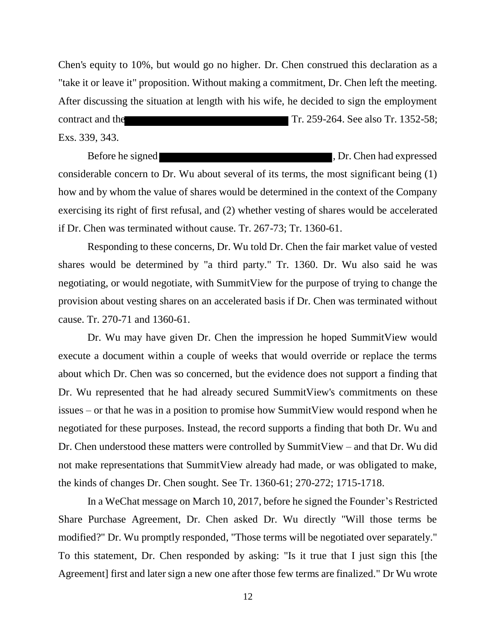Chen's equity to 10%, but would go no higher. Dr. Chen construed this declaration as a "take it or leave it" proposition. Without making a commitment, Dr. Chen left the meeting. After discussing the situation at length with his wife, he decided to sign the employment contract and the Tr. 259-264. See also Tr. 1352-58; Exs. 339, 343.

Before he signed states of the signed states of the signed states of the signed states of the signed states of the signed states of the signed states of the signed states of the signed states of the signed states of the si considerable concern to Dr. Wu about several of its terms, the most significant being (1) how and by whom the value of shares would be determined in the context of the Company exercising its right of first refusal, and (2) whether vesting of shares would be accelerated if Dr. Chen was terminated without cause. Tr. 267-73; Tr. 1360-61.

Responding to these concerns, Dr. Wu told Dr. Chen the fair market value of vested shares would be determined by "a third party." Tr. 1360. Dr. Wu also said he was negotiating, or would negotiate, with SummitView for the purpose of trying to change the provision about vesting shares on an accelerated basis if Dr. Chen was terminated without cause. Tr. 270-71 and 1360-61.

Dr. Wu may have given Dr. Chen the impression he hoped SummitView would execute a document within a couple of weeks that would override or replace the terms about which Dr. Chen was so concerned, but the evidence does not support a finding that Dr. Wu represented that he had already secured SummitView's commitments on these issues – or that he was in a position to promise how SummitView would respond when he negotiated for these purposes. Instead, the record supports a finding that both Dr. Wu and Dr. Chen understood these matters were controlled by SummitView – and that Dr. Wu did not make representations that SummitView already had made, or was obligated to make, the kinds of changes Dr. Chen sought. See Tr. 1360-61; 270-272; 1715-1718.

In a WeChat message on March 10, 2017, before he signed the Founder's Restricted Share Purchase Agreement, Dr. Chen asked Dr. Wu directly "Will those terms be modified?" Dr. Wu promptly responded, "Those terms will be negotiated over separately." To this statement, Dr. Chen responded by asking: "Is it true that I just sign this [the Agreement] first and later sign a new one after those few terms are finalized." Dr Wu wrote

12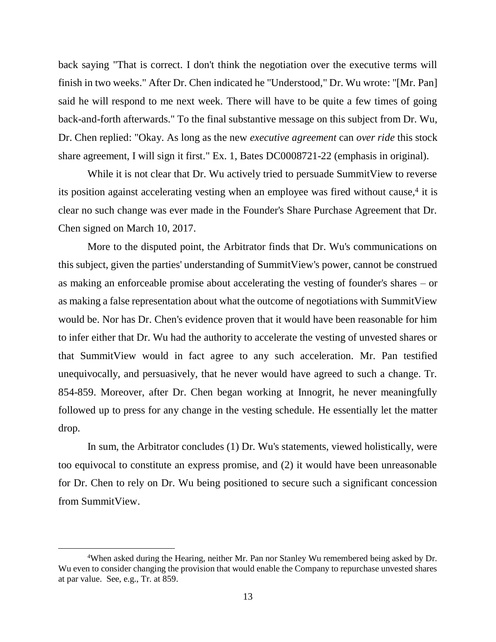back saying "That is correct. I don't think the negotiation over the executive terms will finish in two weeks." After Dr. Chen indicated he "Understood," Dr. Wu wrote: "[Mr. Pan] said he will respond to me next week. There will have to be quite a few times of going back-and-forth afterwards." To the final substantive message on this subject from Dr. Wu, Dr. Chen replied: "Okay. As long as the new *executive agreement* can *over ride* this stock share agreement, I will sign it first." Ex. 1, Bates DC0008721-22 (emphasis in original).

While it is not clear that Dr. Wu actively tried to persuade Summit View to reverse its position against accelerating vesting when an employee was fired without cause,<sup>4</sup> it is clear no such change was ever made in the Founder's Share Purchase Agreement that Dr. Chen signed on March 10, 2017.

More to the disputed point, the Arbitrator finds that Dr. Wu's communications on this subject, given the parties' understanding of SummitView's power, cannot be construed as making an enforceable promise about accelerating the vesting of founder's shares – or as making a false representation about what the outcome of negotiations with SummitView would be. Nor has Dr. Chen's evidence proven that it would have been reasonable for him to infer either that Dr. Wu had the authority to accelerate the vesting of unvested shares or that SummitView would in fact agree to any such acceleration. Mr. Pan testified unequivocally, and persuasively, that he never would have agreed to such a change. Tr. 854-859. Moreover, after Dr. Chen began working at Innogrit, he never meaningfully followed up to press for any change in the vesting schedule. He essentially let the matter drop.

In sum, the Arbitrator concludes (1) Dr. Wu's statements, viewed holistically, were too equivocal to constitute an express promise, and (2) it would have been unreasonable for Dr. Chen to rely on Dr. Wu being positioned to secure such a significant concession from SummitView.

<sup>4</sup>When asked during the Hearing, neither Mr. Pan nor Stanley Wu remembered being asked by Dr. Wu even to consider changing the provision that would enable the Company to repurchase unvested shares at par value. See, e.g., Tr. at 859.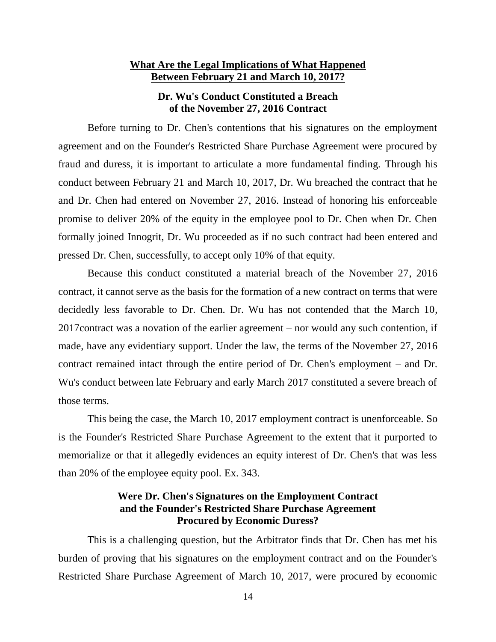## **What Are the Legal Implications of What Happened Between February 21 and March 10, 2017?**

# **Dr. Wu's Conduct Constituted a Breach of the November 27, 2016 Contract**

Before turning to Dr. Chen's contentions that his signatures on the employment agreement and on the Founder's Restricted Share Purchase Agreement were procured by fraud and duress, it is important to articulate a more fundamental finding. Through his conduct between February 21 and March 10, 2017, Dr. Wu breached the contract that he and Dr. Chen had entered on November 27, 2016. Instead of honoring his enforceable promise to deliver 20% of the equity in the employee pool to Dr. Chen when Dr. Chen formally joined Innogrit, Dr. Wu proceeded as if no such contract had been entered and pressed Dr. Chen, successfully, to accept only 10% of that equity.

Because this conduct constituted a material breach of the November 27, 2016 contract, it cannot serve as the basis for the formation of a new contract on terms that were decidedly less favorable to Dr. Chen. Dr. Wu has not contended that the March 10, 2017contract was a novation of the earlier agreement – nor would any such contention, if made, have any evidentiary support. Under the law, the terms of the November 27, 2016 contract remained intact through the entire period of Dr. Chen's employment – and Dr. Wu's conduct between late February and early March 2017 constituted a severe breach of those terms.

This being the case, the March 10, 2017 employment contract is unenforceable. So is the Founder's Restricted Share Purchase Agreement to the extent that it purported to memorialize or that it allegedly evidences an equity interest of Dr. Chen's that was less than 20% of the employee equity pool. Ex. 343.

# **Were Dr. Chen's Signatures on the Employment Contract and the Founder's Restricted Share Purchase Agreement Procured by Economic Duress?**

This is a challenging question, but the Arbitrator finds that Dr. Chen has met his burden of proving that his signatures on the employment contract and on the Founder's Restricted Share Purchase Agreement of March 10, 2017, were procured by economic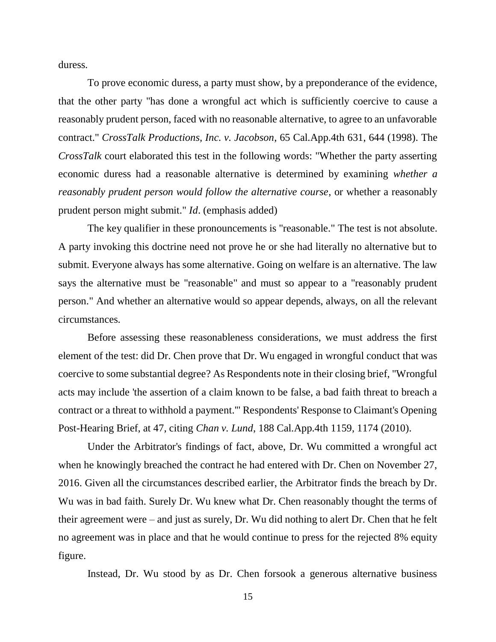duress.

To prove economic duress, a party must show, by a preponderance of the evidence, that the other party "has done a wrongful act which is sufficiently coercive to cause a reasonably prudent person, faced with no reasonable alternative, to agree to an unfavorable contract." *CrossTalk Productions, Inc. v. Jacobson*, 65 Cal.App.4th 631, 644 (1998). The *CrossTalk* court elaborated this test in the following words: "Whether the party asserting economic duress had a reasonable alternative is determined by examining *whether a reasonably prudent person would follow the alternative course*, or whether a reasonably prudent person might submit." *Id*. (emphasis added)

The key qualifier in these pronouncements is "reasonable." The test is not absolute. A party invoking this doctrine need not prove he or she had literally no alternative but to submit. Everyone always has some alternative. Going on welfare is an alternative. The law says the alternative must be "reasonable" and must so appear to a "reasonably prudent person." And whether an alternative would so appear depends, always, on all the relevant circumstances.

Before assessing these reasonableness considerations, we must address the first element of the test: did Dr. Chen prove that Dr. Wu engaged in wrongful conduct that was coercive to some substantial degree? As Respondents note in their closing brief, "Wrongful acts may include 'the assertion of a claim known to be false, a bad faith threat to breach a contract or a threat to withhold a payment.'" Respondents' Response to Claimant's Opening Post-Hearing Brief, at 47, citing *Chan v. Lund*, 188 Cal.App.4th 1159, 1174 (2010).

Under the Arbitrator's findings of fact, above, Dr. Wu committed a wrongful act when he knowingly breached the contract he had entered with Dr. Chen on November 27, 2016. Given all the circumstances described earlier, the Arbitrator finds the breach by Dr. Wu was in bad faith. Surely Dr. Wu knew what Dr. Chen reasonably thought the terms of their agreement were – and just as surely, Dr. Wu did nothing to alert Dr. Chen that he felt no agreement was in place and that he would continue to press for the rejected 8% equity figure.

Instead, Dr. Wu stood by as Dr. Chen forsook a generous alternative business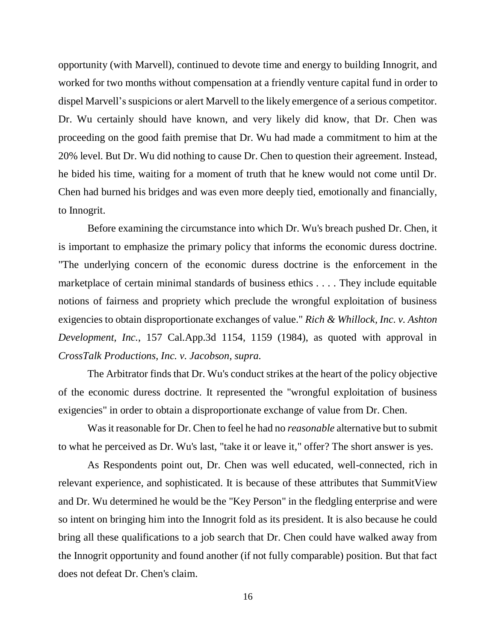opportunity (with Marvell), continued to devote time and energy to building Innogrit, and worked for two months without compensation at a friendly venture capital fund in order to dispel Marvell's suspicions or alert Marvell to the likely emergence of a serious competitor. Dr. Wu certainly should have known, and very likely did know, that Dr. Chen was proceeding on the good faith premise that Dr. Wu had made a commitment to him at the 20% level. But Dr. Wu did nothing to cause Dr. Chen to question their agreement. Instead, he bided his time, waiting for a moment of truth that he knew would not come until Dr. Chen had burned his bridges and was even more deeply tied, emotionally and financially, to Innogrit.

Before examining the circumstance into which Dr. Wu's breach pushed Dr. Chen, it is important to emphasize the primary policy that informs the economic duress doctrine. "The underlying concern of the economic duress doctrine is the enforcement in the marketplace of certain minimal standards of business ethics . . . . They include equitable notions of fairness and propriety which preclude the wrongful exploitation of business exigencies to obtain disproportionate exchanges of value." *Rich & Whillock, Inc. v. Ashton Development, Inc.*, 157 Cal.App.3d 1154, 1159 (1984), as quoted with approval in *CrossTalk Productions, Inc. v. Jacobson, supra.*

The Arbitrator finds that Dr. Wu's conduct strikes at the heart of the policy objective of the economic duress doctrine. It represented the "wrongful exploitation of business exigencies" in order to obtain a disproportionate exchange of value from Dr. Chen.

Was it reasonable for Dr. Chen to feel he had no *reasonable* alternative but to submit to what he perceived as Dr. Wu's last, "take it or leave it," offer? The short answer is yes.

As Respondents point out, Dr. Chen was well educated, well-connected, rich in relevant experience, and sophisticated. It is because of these attributes that SummitView and Dr. Wu determined he would be the "Key Person" in the fledgling enterprise and were so intent on bringing him into the Innogrit fold as its president. It is also because he could bring all these qualifications to a job search that Dr. Chen could have walked away from the Innogrit opportunity and found another (if not fully comparable) position. But that fact does not defeat Dr. Chen's claim.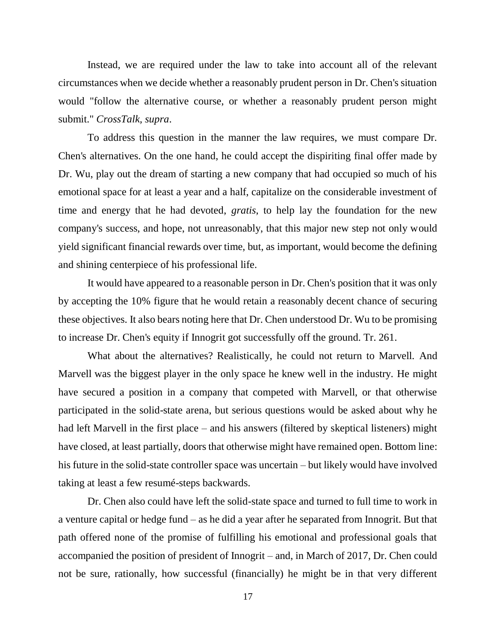Instead, we are required under the law to take into account all of the relevant circumstances when we decide whether a reasonably prudent person in Dr. Chen's situation would "follow the alternative course, or whether a reasonably prudent person might submit." *CrossTalk, supra*.

To address this question in the manner the law requires, we must compare Dr. Chen's alternatives. On the one hand, he could accept the dispiriting final offer made by Dr. Wu, play out the dream of starting a new company that had occupied so much of his emotional space for at least a year and a half, capitalize on the considerable investment of time and energy that he had devoted, *gratis*, to help lay the foundation for the new company's success, and hope, not unreasonably, that this major new step not only would yield significant financial rewards over time, but, as important, would become the defining and shining centerpiece of his professional life.

It would have appeared to a reasonable person in Dr. Chen's position that it was only by accepting the 10% figure that he would retain a reasonably decent chance of securing these objectives. It also bears noting here that Dr. Chen understood Dr. Wu to be promising to increase Dr. Chen's equity if Innogrit got successfully off the ground. Tr. 261.

What about the alternatives? Realistically, he could not return to Marvell. And Marvell was the biggest player in the only space he knew well in the industry. He might have secured a position in a company that competed with Marvell, or that otherwise participated in the solid-state arena, but serious questions would be asked about why he had left Marvell in the first place – and his answers (filtered by skeptical listeners) might have closed, at least partially, doors that otherwise might have remained open. Bottom line: his future in the solid-state controller space was uncertain – but likely would have involved taking at least a few resumé-steps backwards.

Dr. Chen also could have left the solid-state space and turned to full time to work in a venture capital or hedge fund – as he did a year after he separated from Innogrit. But that path offered none of the promise of fulfilling his emotional and professional goals that accompanied the position of president of Innogrit – and, in March of 2017, Dr. Chen could not be sure, rationally, how successful (financially) he might be in that very different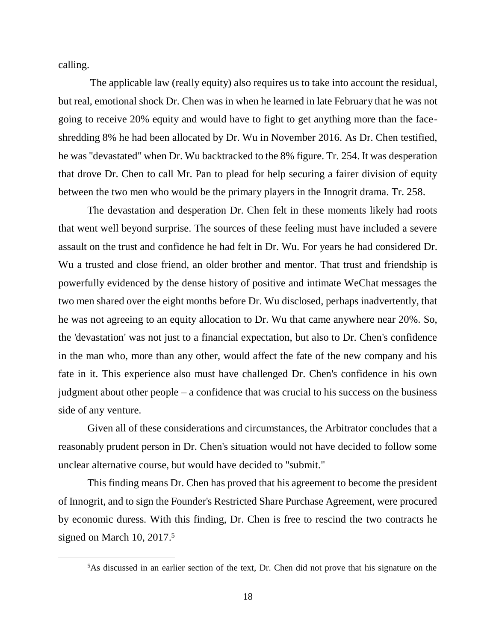calling.

 $\overline{a}$ 

The applicable law (really equity) also requires us to take into account the residual, but real, emotional shock Dr. Chen was in when he learned in late February that he was not going to receive 20% equity and would have to fight to get anything more than the faceshredding 8% he had been allocated by Dr. Wu in November 2016. As Dr. Chen testified, he was "devastated" when Dr. Wu backtracked to the 8% figure. Tr. 254. It was desperation that drove Dr. Chen to call Mr. Pan to plead for help securing a fairer division of equity between the two men who would be the primary players in the Innogrit drama. Tr. 258.

The devastation and desperation Dr. Chen felt in these moments likely had roots that went well beyond surprise. The sources of these feeling must have included a severe assault on the trust and confidence he had felt in Dr. Wu. For years he had considered Dr. Wu a trusted and close friend, an older brother and mentor. That trust and friendship is powerfully evidenced by the dense history of positive and intimate WeChat messages the two men shared over the eight months before Dr. Wu disclosed, perhaps inadvertently, that he was not agreeing to an equity allocation to Dr. Wu that came anywhere near 20%. So, the 'devastation' was not just to a financial expectation, but also to Dr. Chen's confidence in the man who, more than any other, would affect the fate of the new company and his fate in it. This experience also must have challenged Dr. Chen's confidence in his own judgment about other people – a confidence that was crucial to his success on the business side of any venture.

Given all of these considerations and circumstances, the Arbitrator concludes that a reasonably prudent person in Dr. Chen's situation would not have decided to follow some unclear alternative course, but would have decided to "submit."

This finding means Dr. Chen has proved that his agreement to become the president of Innogrit, and to sign the Founder's Restricted Share Purchase Agreement, were procured by economic duress. With this finding, Dr. Chen is free to rescind the two contracts he signed on March 10, 2017. 5

<sup>5</sup>As discussed in an earlier section of the text, Dr. Chen did not prove that his signature on the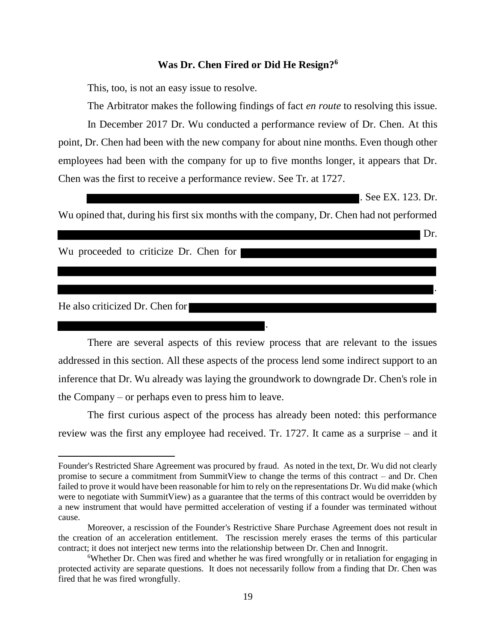### **Was Dr. Chen Fired or Did He Resign?<sup>6</sup>**

This, too, is not an easy issue to resolve.

The Arbitrator makes the following findings of fact *en route* to resolving this issue. In December 2017 Dr. Wu conducted a performance review of Dr. Chen. At this point, Dr. Chen had been with the new company for about nine months. Even though other employees had been with the company for up to five months longer, it appears that Dr. Chen was the first to receive a performance review. See Tr. at 1727.

**.** See EX. 123. Dr.

Dr.

.

Wu opined that, during his first six months with the company, Dr. Chen had not performed

Wu proceeded to criticize Dr. Chen for

#### He also criticized Dr. Chen for

 $\overline{a}$ 

There are several aspects of this review process that are relevant to the issues addressed in this section. All these aspects of the process lend some indirect support to an inference that Dr. Wu already was laying the groundwork to downgrade Dr. Chen's role in the Company – or perhaps even to press him to leave.

.

The first curious aspect of the process has already been noted: this performance review was the first any employee had received. Tr. 1727. It came as a surprise – and it

Founder's Restricted Share Agreement was procured by fraud. As noted in the text, Dr. Wu did not clearly promise to secure a commitment from SummitView to change the terms of this contract – and Dr. Chen failed to prove it would have been reasonable for him to rely on the representations Dr. Wu did make (which were to negotiate with SummitView) as a guarantee that the terms of this contract would be overridden by a new instrument that would have permitted acceleration of vesting if a founder was terminated without cause.

Moreover, a rescission of the Founder's Restrictive Share Purchase Agreement does not result in the creation of an acceleration entitlement. The rescission merely erases the terms of this particular contract; it does not interject new terms into the relationship between Dr. Chen and Innogrit.

<sup>&</sup>lt;sup>6</sup>Whether Dr. Chen was fired and whether he was fired wrongfully or in retaliation for engaging in protected activity are separate questions. It does not necessarily follow from a finding that Dr. Chen was fired that he was fired wrongfully.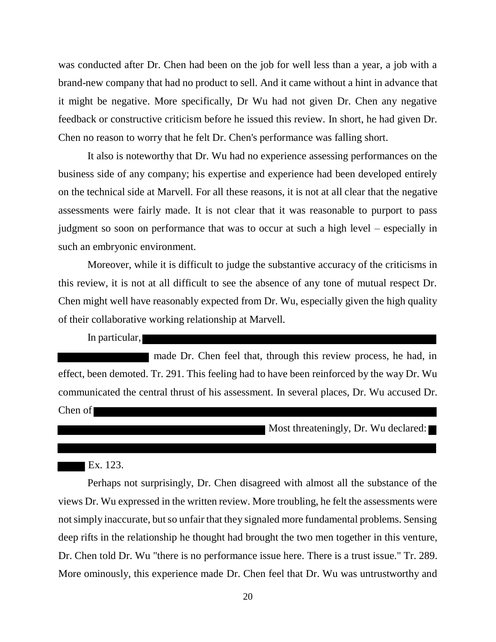was conducted after Dr. Chen had been on the job for well less than a year, a job with a brand-new company that had no product to sell. And it came without a hint in advance that it might be negative. More specifically, Dr Wu had not given Dr. Chen any negative feedback or constructive criticism before he issued this review. In short, he had given Dr. Chen no reason to worry that he felt Dr. Chen's performance was falling short.

It also is noteworthy that Dr. Wu had no experience assessing performances on the business side of any company; his expertise and experience had been developed entirely on the technical side at Marvell. For all these reasons, it is not at all clear that the negative assessments were fairly made. It is not clear that it was reasonable to purport to pass judgment so soon on performance that was to occur at such a high level – especially in such an embryonic environment.

Moreover, while it is difficult to judge the substantive accuracy of the criticisms in this review, it is not at all difficult to see the absence of any tone of mutual respect Dr. Chen might well have reasonably expected from Dr. Wu, especially given the high quality of their collaborative working relationship at Marvell.

In particular,

made Dr. Chen feel that, through this review process, he had, in effect, been demoted. Tr. 291. This feeling had to have been reinforced by the way Dr. Wu communicated the central thrust of his assessment. In several places, Dr. Wu accused Dr. Chen of

Most threateningly, Dr. Wu declared:

## Ex. 123.

Perhaps not surprisingly, Dr. Chen disagreed with almost all the substance of the views Dr. Wu expressed in the written review. More troubling, he felt the assessments were not simply inaccurate, but so unfair that they signaled more fundamental problems. Sensing deep rifts in the relationship he thought had brought the two men together in this venture, Dr. Chen told Dr. Wu "there is no performance issue here. There is a trust issue." Tr. 289. More ominously, this experience made Dr. Chen feel that Dr. Wu was untrustworthy and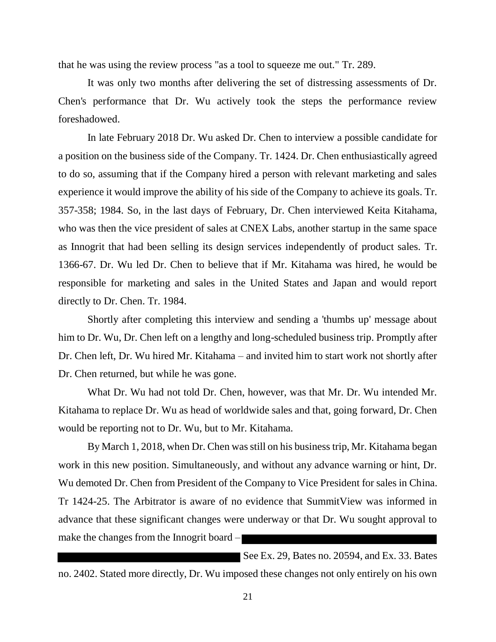that he was using the review process "as a tool to squeeze me out." Tr. 289.

It was only two months after delivering the set of distressing assessments of Dr. Chen's performance that Dr. Wu actively took the steps the performance review foreshadowed.

In late February 2018 Dr. Wu asked Dr. Chen to interview a possible candidate for a position on the business side of the Company. Tr. 1424. Dr. Chen enthusiastically agreed to do so, assuming that if the Company hired a person with relevant marketing and sales experience it would improve the ability of his side of the Company to achieve its goals. Tr. 357-358; 1984. So, in the last days of February, Dr. Chen interviewed Keita Kitahama, who was then the vice president of sales at CNEX Labs, another startup in the same space as Innogrit that had been selling its design services independently of product sales. Tr. 1366-67. Dr. Wu led Dr. Chen to believe that if Mr. Kitahama was hired, he would be responsible for marketing and sales in the United States and Japan and would report directly to Dr. Chen. Tr. 1984.

Shortly after completing this interview and sending a 'thumbs up' message about him to Dr. Wu, Dr. Chen left on a lengthy and long-scheduled business trip. Promptly after Dr. Chen left, Dr. Wu hired Mr. Kitahama – and invited him to start work not shortly after Dr. Chen returned, but while he was gone.

What Dr. Wu had not told Dr. Chen, however, was that Mr. Dr. Wu intended Mr. Kitahama to replace Dr. Wu as head of worldwide sales and that, going forward, Dr. Chen would be reporting not to Dr. Wu, but to Mr. Kitahama.

By March 1, 2018, when Dr. Chen was still on his business trip, Mr. Kitahama began work in this new position. Simultaneously, and without any advance warning or hint, Dr. Wu demoted Dr. Chen from President of the Company to Vice President for sales in China. Tr 1424-25. The Arbitrator is aware of no evidence that SummitView was informed in advance that these significant changes were underway or that Dr. Wu sought approval to make the changes from the Innogrit board –

See Ex. 29, Bates no. 20594, and Ex. 33. Bates no. 2402. Stated more directly, Dr. Wu imposed these changes not only entirely on his own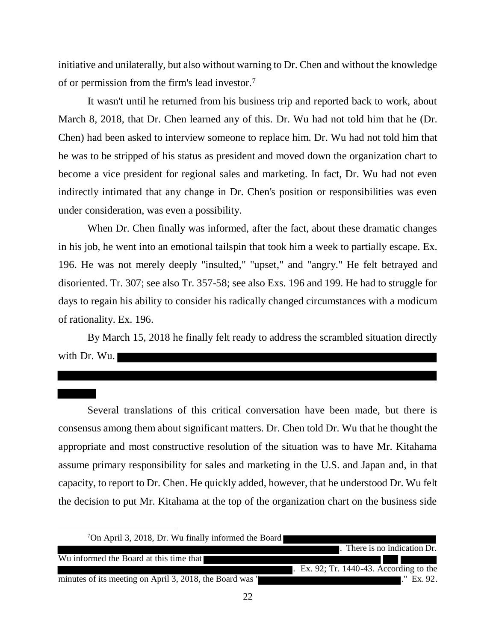initiative and unilaterally, but also without warning to Dr. Chen and without the knowledge of or permission from the firm's lead investor.<sup>7</sup>

It wasn't until he returned from his business trip and reported back to work, about March 8, 2018, that Dr. Chen learned any of this. Dr. Wu had not told him that he (Dr. Chen) had been asked to interview someone to replace him. Dr. Wu had not told him that he was to be stripped of his status as president and moved down the organization chart to become a vice president for regional sales and marketing. In fact, Dr. Wu had not even indirectly intimated that any change in Dr. Chen's position or responsibilities was even under consideration, was even a possibility.

When Dr. Chen finally was informed, after the fact, about these dramatic changes in his job, he went into an emotional tailspin that took him a week to partially escape. Ex. 196. He was not merely deeply "insulted," "upset," and "angry." He felt betrayed and disoriented. Tr. 307; see also Tr. 357-58; see also Exs. 196 and 199. He had to struggle for days to regain his ability to consider his radically changed circumstances with a modicum of rationality. Ex. 196.

By March 15, 2018 he finally felt ready to address the scrambled situation directly with Dr. Wu.

Several translations of this critical conversation have been made, but there is consensus among them about significant matters. Dr. Chen told Dr. Wu that he thought the appropriate and most constructive resolution of the situation was to have Mr. Kitahama assume primary responsibility for sales and marketing in the U.S. and Japan and, in that capacity, to report to Dr. Chen. He quickly added, however, that he understood Dr. Wu felt the decision to put Mr. Kitahama at the top of the organization chart on the business side

| <sup>7</sup> On April 3, 2018, Dr. Wu finally informed the Board |                                          |
|------------------------------------------------------------------|------------------------------------------|
|                                                                  | There is no indication Dr.               |
| Wu informed the Board at this time that                          |                                          |
|                                                                  | $Ex. 92$ ; Tr. 1440-43. According to the |
| minutes of its meeting on April 3, 2018, the Board was "         | $\mathbb{L}^{\prime\prime}$ Ex. 92.      |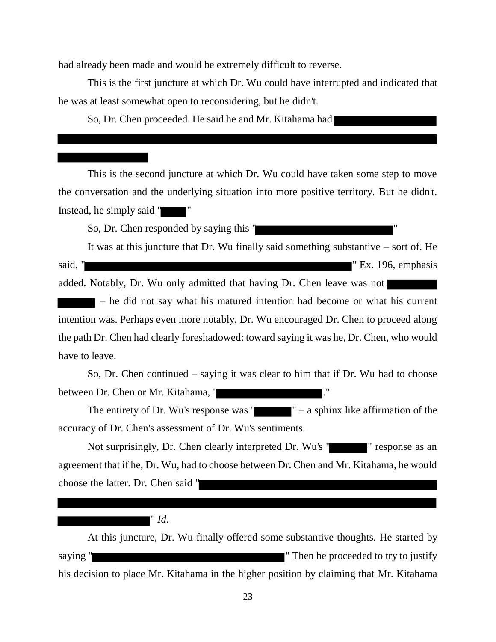had already been made and would be extremely difficult to reverse.

This is the first juncture at which Dr. Wu could have interrupted and indicated that he was at least somewhat open to reconsidering, but he didn't.

So, Dr. Chen proceeded. He said he and Mr. Kitahama had

This is the second juncture at which Dr. Wu could have taken some step to move the conversation and the underlying situation into more positive territory. But he didn't. Instead, he simply said "

So, Dr. Chen responded by saying this " "

It was at this juncture that Dr. Wu finally said something substantive – sort of. He said, " " Ex. 196, emphasis

added. Notably, Dr. Wu only admitted that having Dr. Chen leave was not

– he did not say what his matured intention had become or what his current intention was. Perhaps even more notably, Dr. Wu encouraged Dr. Chen to proceed along the path Dr. Chen had clearly foreshadowed: toward saying it was he, Dr. Chen, who would have to leave.

So, Dr. Chen continued – saying it was clear to him that if Dr. Wu had to choose between Dr. Chen or Mr. Kitahama, "

The entirety of Dr. Wu's response was  $"$   $"$  – a sphinx like affirmation of the accuracy of Dr. Chen's assessment of Dr. Wu's sentiments.

Not surprisingly, Dr. Chen clearly interpreted Dr. Wu's " " " response as an agreement that if he, Dr. Wu, had to choose between Dr. Chen and Mr. Kitahama, he would choose the latter. Dr. Chen said "

# " *Id.*

At this juncture, Dr. Wu finally offered some substantive thoughts. He started by saying " Then he proceeded to try to justify his decision to place Mr. Kitahama in the higher position by claiming that Mr. Kitahama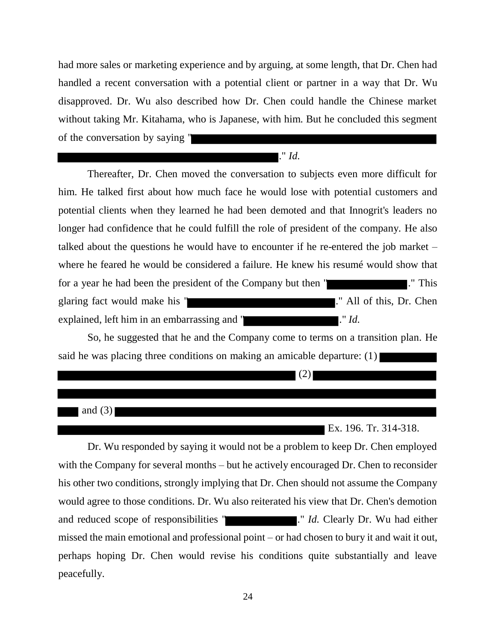had more sales or marketing experience and by arguing, at some length, that Dr. Chen had handled a recent conversation with a potential client or partner in a way that Dr. Wu disapproved. Dr. Wu also described how Dr. Chen could handle the Chinese market without taking Mr. Kitahama, who is Japanese, with him. But he concluded this segment of the conversation by saying "

## ." *Id.*

Thereafter, Dr. Chen moved the conversation to subjects even more difficult for him. He talked first about how much face he would lose with potential customers and potential clients when they learned he had been demoted and that Innogrit's leaders no longer had confidence that he could fulfill the role of president of the company. He also talked about the questions he would have to encounter if he re-entered the job market – where he feared he would be considered a failure. He knew his resumé would show that for a year he had been the president of the Company but then " glaring fact would make his " explained, left him in an embarrassing and " ." *Id.*

So, he suggested that he and the Company come to terms on a transition plan. He said he was placing three conditions on making an amicable departure: (1)

| and $(3)$ |                       |
|-----------|-----------------------|
|           | Ex. 196. Tr. 314-318. |

Dr. Wu responded by saying it would not be a problem to keep Dr. Chen employed with the Company for several months – but he actively encouraged Dr. Chen to reconsider his other two conditions, strongly implying that Dr. Chen should not assume the Company would agree to those conditions. Dr. Wu also reiterated his view that Dr. Chen's demotion and reduced scope of responsibilities " ... *Id.* Clearly Dr. Wu had either missed the main emotional and professional point – or had chosen to bury it and wait it out, perhaps hoping Dr. Chen would revise his conditions quite substantially and leave peacefully.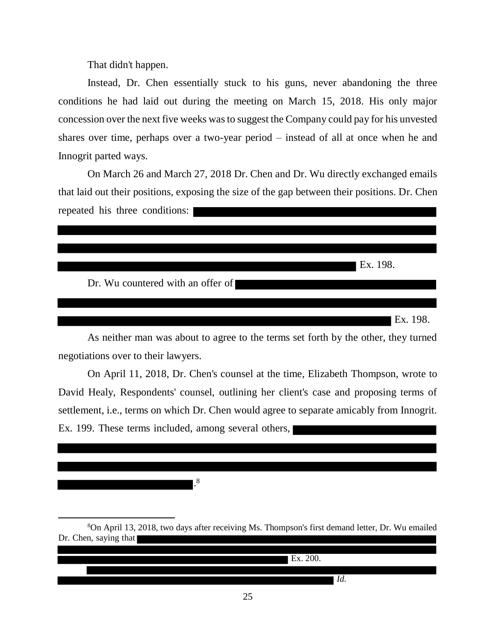That didn't happen.

 $\overline{a}$ 

Instead, Dr. Chen essentially stuck to his guns, never abandoning the three conditions he had laid out during the meeting on March 15, 2018. His only major concession over the next five weeks was to suggest the Company could pay for his unvested shares over time, perhaps over a two-year period – instead of all at once when he and Innogrit parted ways.

On March 26 and March 27, 2018 Dr. Chen and Dr. Wu directly exchanged emails that laid out their positions, exposing the size of the gap between their positions. Dr. Chen repeated his three conditions:



As neither man was about to agree to the terms set forth by the other, they turned negotiations over to their lawyers.

On April 11, 2018, Dr. Chen's counsel at the time, Elizabeth Thompson, wrote to David Healy, Respondents' counsel, outlining her client's case and proposing terms of settlement, i.e., terms on which Dr. Chen would agree to separate amicably from Innogrit. Ex. 199. These terms included, among several others,

. 8

<sup>8</sup>On April 13, 2018, two days after receiving Ms. Thompson's first demand letter, Dr. Wu emailed Dr. Chen, saying that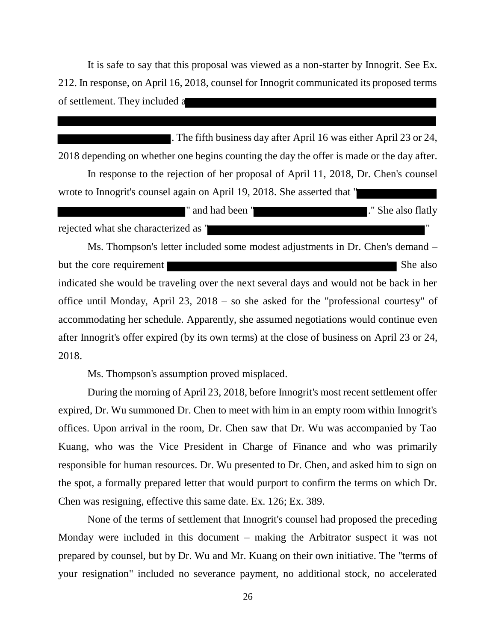It is safe to say that this proposal was viewed as a non-starter by Innogrit. See Ex. 212. In response, on April 16, 2018, counsel for Innogrit communicated its proposed terms of settlement. They included a

. The fifth business day after April 16 was either April 23 or 24, 2018 depending on whether one begins counting the day the offer is made or the day after.

In response to the rejection of her proposal of April 11, 2018, Dr. Chen's counsel wrote to Innogrit's counsel again on April 19, 2018. She asserted that "

|                                      | and had been | ." She also flatly |  |
|--------------------------------------|--------------|--------------------|--|
| rejected what she characterized as " |              |                    |  |

Ms. Thompson's letter included some modest adjustments in Dr. Chen's demand – but the core requirement She also indicated she would be traveling over the next several days and would not be back in her office until Monday, April 23, 2018 – so she asked for the "professional courtesy" of accommodating her schedule. Apparently, she assumed negotiations would continue even after Innogrit's offer expired (by its own terms) at the close of business on April 23 or 24, 2018.

Ms. Thompson's assumption proved misplaced.

During the morning of April 23, 2018, before Innogrit's most recent settlement offer expired, Dr. Wu summoned Dr. Chen to meet with him in an empty room within Innogrit's offices. Upon arrival in the room, Dr. Chen saw that Dr. Wu was accompanied by Tao Kuang, who was the Vice President in Charge of Finance and who was primarily responsible for human resources. Dr. Wu presented to Dr. Chen, and asked him to sign on the spot, a formally prepared letter that would purport to confirm the terms on which Dr. Chen was resigning, effective this same date. Ex. 126; Ex. 389.

None of the terms of settlement that Innogrit's counsel had proposed the preceding Monday were included in this document – making the Arbitrator suspect it was not prepared by counsel, but by Dr. Wu and Mr. Kuang on their own initiative. The "terms of your resignation" included no severance payment, no additional stock, no accelerated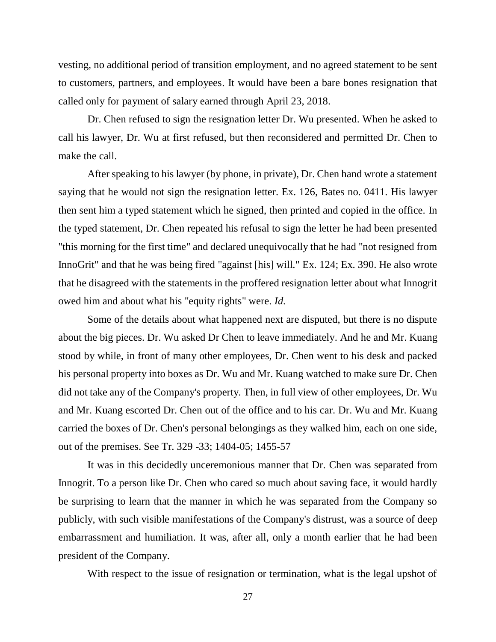vesting, no additional period of transition employment, and no agreed statement to be sent to customers, partners, and employees. It would have been a bare bones resignation that called only for payment of salary earned through April 23, 2018.

Dr. Chen refused to sign the resignation letter Dr. Wu presented. When he asked to call his lawyer, Dr. Wu at first refused, but then reconsidered and permitted Dr. Chen to make the call.

After speaking to his lawyer (by phone, in private), Dr. Chen hand wrote a statement saying that he would not sign the resignation letter. Ex. 126, Bates no. 0411. His lawyer then sent him a typed statement which he signed, then printed and copied in the office. In the typed statement, Dr. Chen repeated his refusal to sign the letter he had been presented "this morning for the first time" and declared unequivocally that he had "not resigned from InnoGrit" and that he was being fired "against [his] will." Ex. 124; Ex. 390. He also wrote that he disagreed with the statements in the proffered resignation letter about what Innogrit owed him and about what his "equity rights" were. *Id.*

Some of the details about what happened next are disputed, but there is no dispute about the big pieces. Dr. Wu asked Dr Chen to leave immediately. And he and Mr. Kuang stood by while, in front of many other employees, Dr. Chen went to his desk and packed his personal property into boxes as Dr. Wu and Mr. Kuang watched to make sure Dr. Chen did not take any of the Company's property. Then, in full view of other employees, Dr. Wu and Mr. Kuang escorted Dr. Chen out of the office and to his car. Dr. Wu and Mr. Kuang carried the boxes of Dr. Chen's personal belongings as they walked him, each on one side, out of the premises. See Tr. 329 -33; 1404-05; 1455-57

It was in this decidedly unceremonious manner that Dr. Chen was separated from Innogrit. To a person like Dr. Chen who cared so much about saving face, it would hardly be surprising to learn that the manner in which he was separated from the Company so publicly, with such visible manifestations of the Company's distrust, was a source of deep embarrassment and humiliation. It was, after all, only a month earlier that he had been president of the Company.

With respect to the issue of resignation or termination, what is the legal upshot of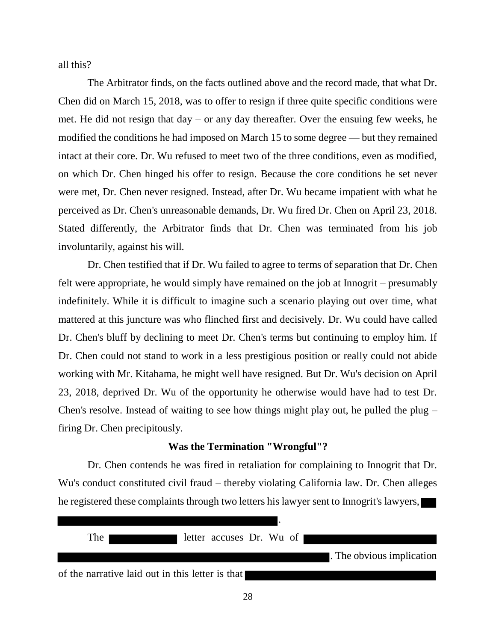all this?

The Arbitrator finds, on the facts outlined above and the record made, that what Dr. Chen did on March 15, 2018, was to offer to resign if three quite specific conditions were met. He did not resign that day – or any day thereafter. Over the ensuing few weeks, he modified the conditions he had imposed on March 15 to some degree — but they remained intact at their core. Dr. Wu refused to meet two of the three conditions, even as modified, on which Dr. Chen hinged his offer to resign. Because the core conditions he set never were met, Dr. Chen never resigned. Instead, after Dr. Wu became impatient with what he perceived as Dr. Chen's unreasonable demands, Dr. Wu fired Dr. Chen on April 23, 2018. Stated differently, the Arbitrator finds that Dr. Chen was terminated from his job involuntarily, against his will.

Dr. Chen testified that if Dr. Wu failed to agree to terms of separation that Dr. Chen felt were appropriate, he would simply have remained on the job at Innogrit – presumably indefinitely. While it is difficult to imagine such a scenario playing out over time, what mattered at this juncture was who flinched first and decisively. Dr. Wu could have called Dr. Chen's bluff by declining to meet Dr. Chen's terms but continuing to employ him. If Dr. Chen could not stand to work in a less prestigious position or really could not abide working with Mr. Kitahama, he might well have resigned. But Dr. Wu's decision on April 23, 2018, deprived Dr. Wu of the opportunity he otherwise would have had to test Dr. Chen's resolve. Instead of waiting to see how things might play out, he pulled the plug – firing Dr. Chen precipitously.

### **Was the Termination "Wrongful"?**

Dr. Chen contends he was fired in retaliation for complaining to Innogrit that Dr. Wu's conduct constituted civil fraud – thereby violating California law. Dr. Chen alleges he registered these complaints through two letters his lawyer sent to Innogrit's lawyers,

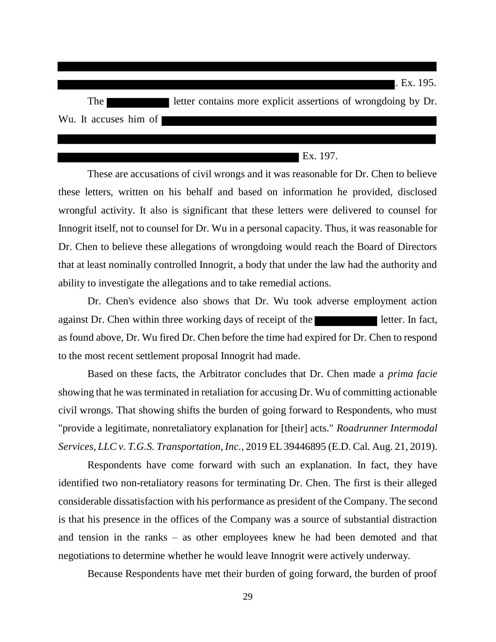| The I                 | letter contains more explicit assertions of wrongdoing by Dr. |
|-----------------------|---------------------------------------------------------------|
| Wu. It accuses him of |                                                               |

### $\blacksquare$  Ex. 197.

. Ex. 195.

These are accusations of civil wrongs and it was reasonable for Dr. Chen to believe these letters, written on his behalf and based on information he provided, disclosed wrongful activity. It also is significant that these letters were delivered to counsel for Innogrit itself, not to counsel for Dr. Wu in a personal capacity. Thus, it was reasonable for Dr. Chen to believe these allegations of wrongdoing would reach the Board of Directors that at least nominally controlled Innogrit, a body that under the law had the authority and ability to investigate the allegations and to take remedial actions.

Dr. Chen's evidence also shows that Dr. Wu took adverse employment action against Dr. Chen within three working days of receipt of the letter. In fact, as found above, Dr. Wu fired Dr. Chen before the time had expired for Dr. Chen to respond to the most recent settlement proposal Innogrit had made.

Based on these facts, the Arbitrator concludes that Dr. Chen made a *prima facie* showing that he was terminated in retaliation for accusing Dr. Wu of committing actionable civil wrongs. That showing shifts the burden of going forward to Respondents, who must "provide a legitimate, nonretaliatory explanation for [their] acts." *Roadrunner Intermodal Services, LLC v. T.G.S. Transportation, Inc.*, 2019 EL 39446895 (E.D. Cal. Aug. 21, 2019).

Respondents have come forward with such an explanation. In fact, they have identified two non-retaliatory reasons for terminating Dr. Chen. The first is their alleged considerable dissatisfaction with his performance as president of the Company. The second is that his presence in the offices of the Company was a source of substantial distraction and tension in the ranks – as other employees knew he had been demoted and that negotiations to determine whether he would leave Innogrit were actively underway.

Because Respondents have met their burden of going forward, the burden of proof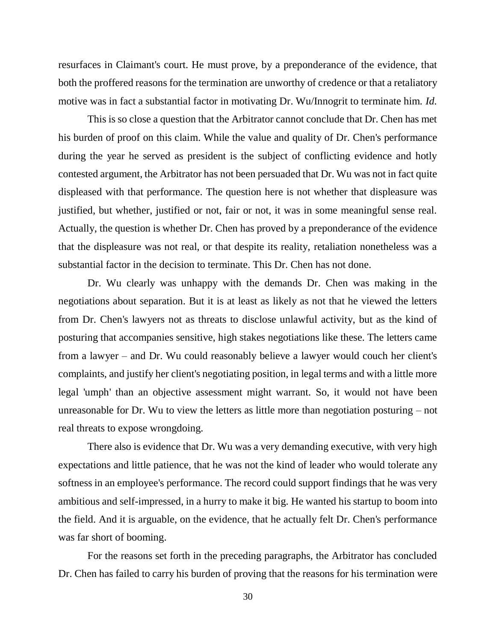resurfaces in Claimant's court. He must prove, by a preponderance of the evidence, that both the proffered reasons for the termination are unworthy of credence or that a retaliatory motive was in fact a substantial factor in motivating Dr. Wu/Innogrit to terminate him. *Id.*

This is so close a question that the Arbitrator cannot conclude that Dr. Chen has met his burden of proof on this claim. While the value and quality of Dr. Chen's performance during the year he served as president is the subject of conflicting evidence and hotly contested argument, the Arbitrator has not been persuaded that Dr. Wu was not in fact quite displeased with that performance. The question here is not whether that displeasure was justified, but whether, justified or not, fair or not, it was in some meaningful sense real. Actually, the question is whether Dr. Chen has proved by a preponderance of the evidence that the displeasure was not real, or that despite its reality, retaliation nonetheless was a substantial factor in the decision to terminate. This Dr. Chen has not done.

Dr. Wu clearly was unhappy with the demands Dr. Chen was making in the negotiations about separation. But it is at least as likely as not that he viewed the letters from Dr. Chen's lawyers not as threats to disclose unlawful activity, but as the kind of posturing that accompanies sensitive, high stakes negotiations like these. The letters came from a lawyer – and Dr. Wu could reasonably believe a lawyer would couch her client's complaints, and justify her client's negotiating position, in legal terms and with a little more legal 'umph' than an objective assessment might warrant. So, it would not have been unreasonable for Dr. Wu to view the letters as little more than negotiation posturing – not real threats to expose wrongdoing.

There also is evidence that Dr. Wu was a very demanding executive, with very high expectations and little patience, that he was not the kind of leader who would tolerate any softness in an employee's performance. The record could support findings that he was very ambitious and self-impressed, in a hurry to make it big. He wanted his startup to boom into the field. And it is arguable, on the evidence, that he actually felt Dr. Chen's performance was far short of booming.

For the reasons set forth in the preceding paragraphs, the Arbitrator has concluded Dr. Chen has failed to carry his burden of proving that the reasons for his termination were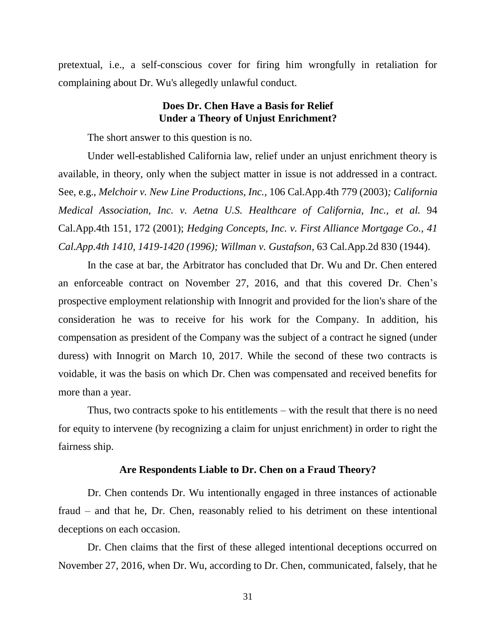pretextual, i.e., a self-conscious cover for firing him wrongfully in retaliation for complaining about Dr. Wu's allegedly unlawful conduct.

## **Does Dr. Chen Have a Basis for Relief Under a Theory of Unjust Enrichment?**

The short answer to this question is no.

Under well-established California law, relief under an unjust enrichment theory is available, in theory, only when the subject matter in issue is not addressed in a contract. See, e.g., *Melchoir v. New Line Productions, Inc.,* 106 Cal.App.4th 779 (2003)*; California Medical Association, Inc. v. Aetna U.S. Healthcare of California, Inc., et al.* 94 Cal.App.4th 151, 172 (2001); *Hedging Concepts, Inc. v. First Alliance Mortgage Co., 41 Cal.App.4th 1410, 1419-1420 (1996); Willman v. Gustafson*, 63 Cal.App.2d 830 (1944).

In the case at bar, the Arbitrator has concluded that Dr. Wu and Dr. Chen entered an enforceable contract on November 27, 2016, and that this covered Dr. Chen's prospective employment relationship with Innogrit and provided for the lion's share of the consideration he was to receive for his work for the Company. In addition, his compensation as president of the Company was the subject of a contract he signed (under duress) with Innogrit on March 10, 2017. While the second of these two contracts is voidable, it was the basis on which Dr. Chen was compensated and received benefits for more than a year.

Thus, two contracts spoke to his entitlements – with the result that there is no need for equity to intervene (by recognizing a claim for unjust enrichment) in order to right the fairness ship.

### **Are Respondents Liable to Dr. Chen on a Fraud Theory?**

Dr. Chen contends Dr. Wu intentionally engaged in three instances of actionable fraud – and that he, Dr. Chen, reasonably relied to his detriment on these intentional deceptions on each occasion.

Dr. Chen claims that the first of these alleged intentional deceptions occurred on November 27, 2016, when Dr. Wu, according to Dr. Chen, communicated, falsely, that he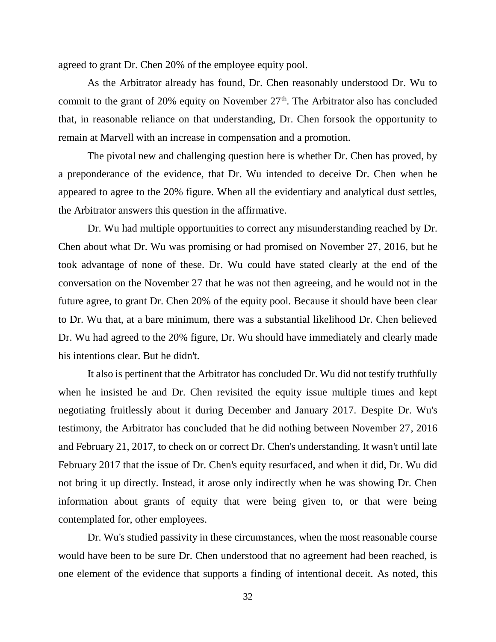agreed to grant Dr. Chen 20% of the employee equity pool.

As the Arbitrator already has found, Dr. Chen reasonably understood Dr. Wu to commit to the grant of  $20\%$  equity on November  $27<sup>th</sup>$ . The Arbitrator also has concluded that, in reasonable reliance on that understanding, Dr. Chen forsook the opportunity to remain at Marvell with an increase in compensation and a promotion.

The pivotal new and challenging question here is whether Dr. Chen has proved, by a preponderance of the evidence, that Dr. Wu intended to deceive Dr. Chen when he appeared to agree to the 20% figure. When all the evidentiary and analytical dust settles, the Arbitrator answers this question in the affirmative.

Dr. Wu had multiple opportunities to correct any misunderstanding reached by Dr. Chen about what Dr. Wu was promising or had promised on November 27, 2016, but he took advantage of none of these. Dr. Wu could have stated clearly at the end of the conversation on the November 27 that he was not then agreeing, and he would not in the future agree, to grant Dr. Chen 20% of the equity pool. Because it should have been clear to Dr. Wu that, at a bare minimum, there was a substantial likelihood Dr. Chen believed Dr. Wu had agreed to the 20% figure, Dr. Wu should have immediately and clearly made his intentions clear. But he didn't.

It also is pertinent that the Arbitrator has concluded Dr. Wu did not testify truthfully when he insisted he and Dr. Chen revisited the equity issue multiple times and kept negotiating fruitlessly about it during December and January 2017. Despite Dr. Wu's testimony, the Arbitrator has concluded that he did nothing between November 27, 2016 and February 21, 2017, to check on or correct Dr. Chen's understanding. It wasn't until late February 2017 that the issue of Dr. Chen's equity resurfaced, and when it did, Dr. Wu did not bring it up directly. Instead, it arose only indirectly when he was showing Dr. Chen information about grants of equity that were being given to, or that were being contemplated for, other employees.

Dr. Wu's studied passivity in these circumstances, when the most reasonable course would have been to be sure Dr. Chen understood that no agreement had been reached, is one element of the evidence that supports a finding of intentional deceit. As noted, this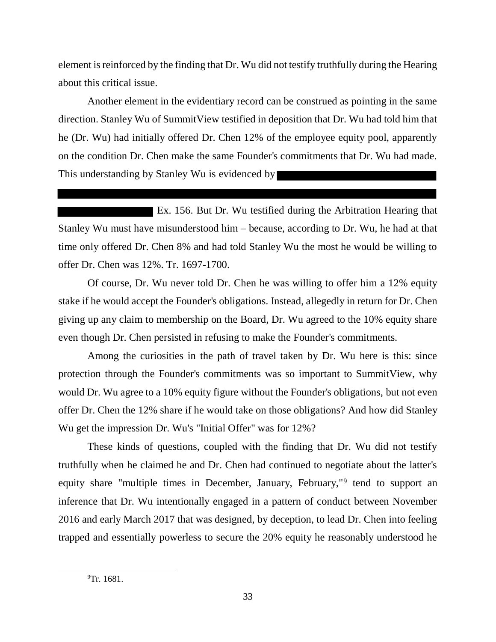element is reinforced by the finding that Dr. Wu did not testify truthfully during the Hearing about this critical issue.

Another element in the evidentiary record can be construed as pointing in the same direction. Stanley Wu of SummitView testified in deposition that Dr. Wu had told him that he (Dr. Wu) had initially offered Dr. Chen 12% of the employee equity pool, apparently on the condition Dr. Chen make the same Founder's commitments that Dr. Wu had made. This understanding by Stanley Wu is evidenced by

Ex. 156. But Dr. Wu testified during the Arbitration Hearing that Stanley Wu must have misunderstood him – because, according to Dr. Wu, he had at that time only offered Dr. Chen 8% and had told Stanley Wu the most he would be willing to offer Dr. Chen was 12%. Tr. 1697-1700.

Of course, Dr. Wu never told Dr. Chen he was willing to offer him a 12% equity stake if he would accept the Founder's obligations. Instead, allegedly in return for Dr. Chen giving up any claim to membership on the Board, Dr. Wu agreed to the 10% equity share even though Dr. Chen persisted in refusing to make the Founder's commitments.

Among the curiosities in the path of travel taken by Dr. Wu here is this: since protection through the Founder's commitments was so important to SummitView, why would Dr. Wu agree to a 10% equity figure without the Founder's obligations, but not even offer Dr. Chen the 12% share if he would take on those obligations? And how did Stanley Wu get the impression Dr. Wu's "Initial Offer" was for 12%?

These kinds of questions, coupled with the finding that Dr. Wu did not testify truthfully when he claimed he and Dr. Chen had continued to negotiate about the latter's equity share "multiple times in December, January, February,"<sup>9</sup> tend to support an inference that Dr. Wu intentionally engaged in a pattern of conduct between November 2016 and early March 2017 that was designed, by deception, to lead Dr. Chen into feeling trapped and essentially powerless to secure the 20% equity he reasonably understood he

<sup>&</sup>lt;sup>9</sup>Tr. 1681.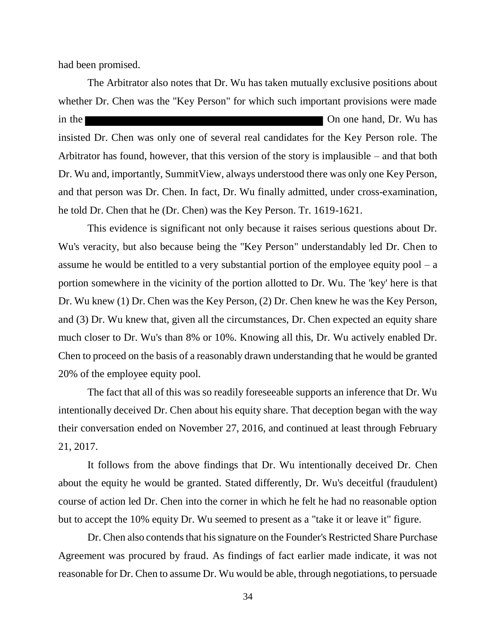had been promised.

The Arbitrator also notes that Dr. Wu has taken mutually exclusive positions about whether Dr. Chen was the "Key Person" for which such important provisions were made in the **One hand, Dr. Wu has** One hand, Dr. Wu has insisted Dr. Chen was only one of several real candidates for the Key Person role. The Arbitrator has found, however, that this version of the story is implausible – and that both Dr. Wu and, importantly, SummitView, always understood there was only one Key Person, and that person was Dr. Chen. In fact, Dr. Wu finally admitted, under cross-examination, he told Dr. Chen that he (Dr. Chen) was the Key Person. Tr. 1619-1621.

This evidence is significant not only because it raises serious questions about Dr. Wu's veracity, but also because being the "Key Person" understandably led Dr. Chen to assume he would be entitled to a very substantial portion of the employee equity  $pool - a$ portion somewhere in the vicinity of the portion allotted to Dr. Wu. The 'key' here is that Dr. Wu knew (1) Dr. Chen was the Key Person, (2) Dr. Chen knew he was the Key Person, and (3) Dr. Wu knew that, given all the circumstances, Dr. Chen expected an equity share much closer to Dr. Wu's than 8% or 10%. Knowing all this, Dr. Wu actively enabled Dr. Chen to proceed on the basis of a reasonably drawn understanding that he would be granted 20% of the employee equity pool.

The fact that all of this was so readily foreseeable supports an inference that Dr. Wu intentionally deceived Dr. Chen about his equity share. That deception began with the way their conversation ended on November 27, 2016, and continued at least through February 21, 2017.

It follows from the above findings that Dr. Wu intentionally deceived Dr. Chen about the equity he would be granted. Stated differently, Dr. Wu's deceitful (fraudulent) course of action led Dr. Chen into the corner in which he felt he had no reasonable option but to accept the 10% equity Dr. Wu seemed to present as a "take it or leave it" figure.

Dr. Chen also contends that his signature on the Founder's Restricted Share Purchase Agreement was procured by fraud. As findings of fact earlier made indicate, it was not reasonable for Dr. Chen to assume Dr. Wu would be able, through negotiations, to persuade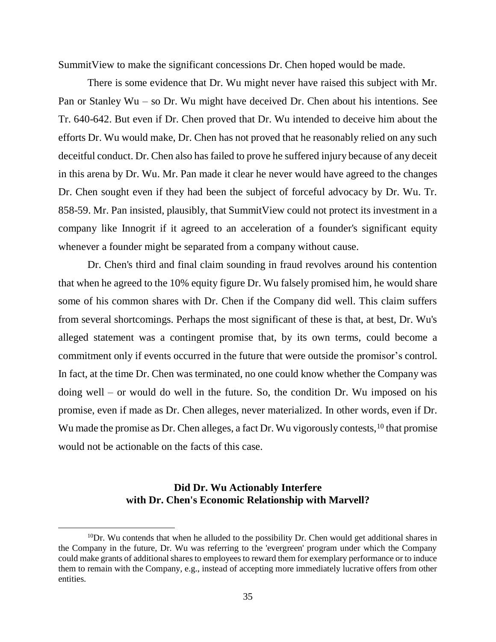SummitView to make the significant concessions Dr. Chen hoped would be made.

There is some evidence that Dr. Wu might never have raised this subject with Mr. Pan or Stanley Wu – so Dr. Wu might have deceived Dr. Chen about his intentions. See Tr. 640-642. But even if Dr. Chen proved that Dr. Wu intended to deceive him about the efforts Dr. Wu would make, Dr. Chen has not proved that he reasonably relied on any such deceitful conduct. Dr. Chen also has failed to prove he suffered injury because of any deceit in this arena by Dr. Wu. Mr. Pan made it clear he never would have agreed to the changes Dr. Chen sought even if they had been the subject of forceful advocacy by Dr. Wu. Tr. 858-59. Mr. Pan insisted, plausibly, that SummitView could not protect its investment in a company like Innogrit if it agreed to an acceleration of a founder's significant equity whenever a founder might be separated from a company without cause.

Dr. Chen's third and final claim sounding in fraud revolves around his contention that when he agreed to the 10% equity figure Dr. Wu falsely promised him, he would share some of his common shares with Dr. Chen if the Company did well. This claim suffers from several shortcomings. Perhaps the most significant of these is that, at best, Dr. Wu's alleged statement was a contingent promise that, by its own terms, could become a commitment only if events occurred in the future that were outside the promisor's control. In fact, at the time Dr. Chen was terminated, no one could know whether the Company was doing well – or would do well in the future. So, the condition Dr. Wu imposed on his promise, even if made as Dr. Chen alleges, never materialized. In other words, even if Dr. Wu made the promise as Dr. Chen alleges, a fact Dr. Wu vigorously contests, <sup>10</sup> that promise would not be actionable on the facts of this case.

## **Did Dr. Wu Actionably Interfere with Dr. Chen's Economic Relationship with Marvell?**

 $10$ Dr. Wu contends that when he alluded to the possibility Dr. Chen would get additional shares in the Company in the future, Dr. Wu was referring to the 'evergreen' program under which the Company could make grants of additional shares to employees to reward them for exemplary performance or to induce them to remain with the Company, e.g., instead of accepting more immediately lucrative offers from other entities.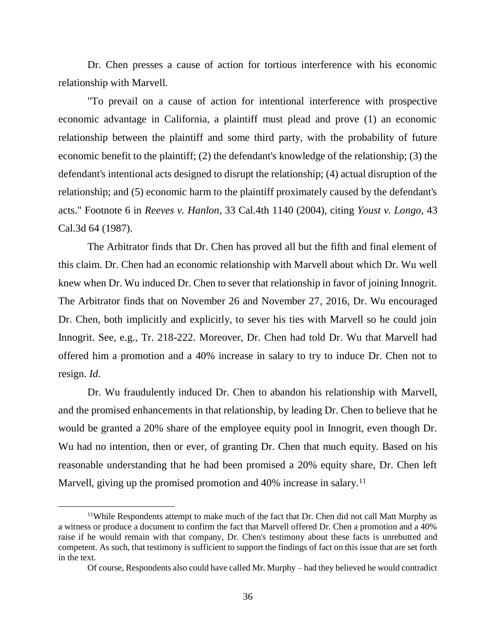Dr. Chen presses a cause of action for tortious interference with his economic relationship with Marvell.

"To prevail on a cause of action for intentional interference with prospective economic advantage in California, a plaintiff must plead and prove (1) an economic relationship between the plaintiff and some third party, with the probability of future economic benefit to the plaintiff; (2) the defendant's knowledge of the relationship; (3) the defendant's intentional acts designed to disrupt the relationship; (4) actual disruption of the relationship; and (5) economic harm to the plaintiff proximately caused by the defendant's acts." Footnote 6 in *Reeves v. Hanlon*, 33 Cal.4th 1140 (2004), citing *Youst v. Longo*, 43 Cal.3d 64 (1987).

The Arbitrator finds that Dr. Chen has proved all but the fifth and final element of this claim. Dr. Chen had an economic relationship with Marvell about which Dr. Wu well knew when Dr. Wu induced Dr. Chen to sever that relationship in favor of joining Innogrit. The Arbitrator finds that on November 26 and November 27, 2016, Dr. Wu encouraged Dr. Chen, both implicitly and explicitly, to sever his ties with Marvell so he could join Innogrit. See, e.g., Tr. 218-222. Moreover, Dr. Chen had told Dr. Wu that Marvell had offered him a promotion and a 40% increase in salary to try to induce Dr. Chen not to resign. *Id.*

Dr. Wu fraudulently induced Dr. Chen to abandon his relationship with Marvell, and the promised enhancements in that relationship, by leading Dr. Chen to believe that he would be granted a 20% share of the employee equity pool in Innogrit, even though Dr. Wu had no intention, then or ever, of granting Dr. Chen that much equity. Based on his reasonable understanding that he had been promised a 20% equity share, Dr. Chen left Marvell, giving up the promised promotion and 40% increase in salary.<sup>11</sup>

<sup>&</sup>lt;sup>11</sup>While Respondents attempt to make much of the fact that Dr. Chen did not call Matt Murphy as a witness or produce a document to confirm the fact that Marvell offered Dr. Chen a promotion and a 40% raise if he would remain with that company, Dr. Chen's testimony about these facts is unrebutted and competent. As such, that testimony is sufficient to support the findings of fact on this issue that are set forth in the text.

Of course, Respondents also could have called Mr. Murphy – had they believed he would contradict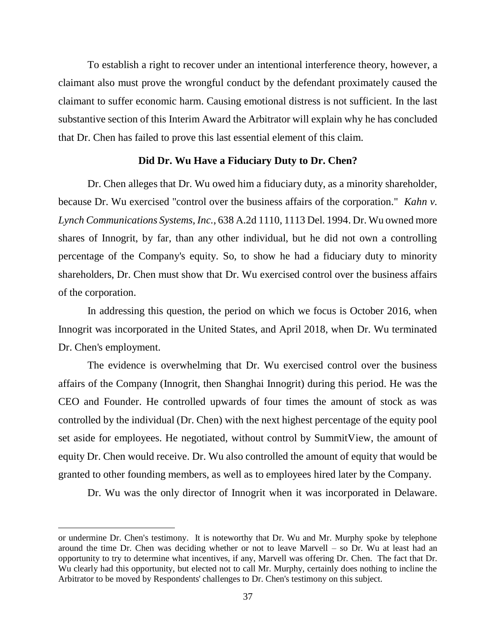To establish a right to recover under an intentional interference theory, however, a claimant also must prove the wrongful conduct by the defendant proximately caused the claimant to suffer economic harm. Causing emotional distress is not sufficient. In the last substantive section of this Interim Award the Arbitrator will explain why he has concluded that Dr. Chen has failed to prove this last essential element of this claim.

### **Did Dr. Wu Have a Fiduciary Duty to Dr. Chen?**

Dr. Chen alleges that Dr. Wu owed him a fiduciary duty, as a minority shareholder, because Dr. Wu exercised "control over the business affairs of the corporation." *Kahn v. Lynch Communications Systems, Inc.*, 638 A.2d 1110, 1113 Del. 1994. Dr. Wu owned more shares of Innogrit, by far, than any other individual, but he did not own a controlling percentage of the Company's equity. So, to show he had a fiduciary duty to minority shareholders, Dr. Chen must show that Dr. Wu exercised control over the business affairs of the corporation.

In addressing this question, the period on which we focus is October 2016, when Innogrit was incorporated in the United States, and April 2018, when Dr. Wu terminated Dr. Chen's employment.

The evidence is overwhelming that Dr. Wu exercised control over the business affairs of the Company (Innogrit, then Shanghai Innogrit) during this period. He was the CEO and Founder. He controlled upwards of four times the amount of stock as was controlled by the individual (Dr. Chen) with the next highest percentage of the equity pool set aside for employees. He negotiated, without control by SummitView, the amount of equity Dr. Chen would receive. Dr. Wu also controlled the amount of equity that would be granted to other founding members, as well as to employees hired later by the Company.

Dr. Wu was the only director of Innogrit when it was incorporated in Delaware.

or undermine Dr. Chen's testimony. It is noteworthy that Dr. Wu and Mr. Murphy spoke by telephone around the time Dr. Chen was deciding whether or not to leave Marvell – so Dr. Wu at least had an opportunity to try to determine what incentives, if any, Marvell was offering Dr. Chen. The fact that Dr. Wu clearly had this opportunity, but elected not to call Mr. Murphy, certainly does nothing to incline the Arbitrator to be moved by Respondents' challenges to Dr. Chen's testimony on this subject.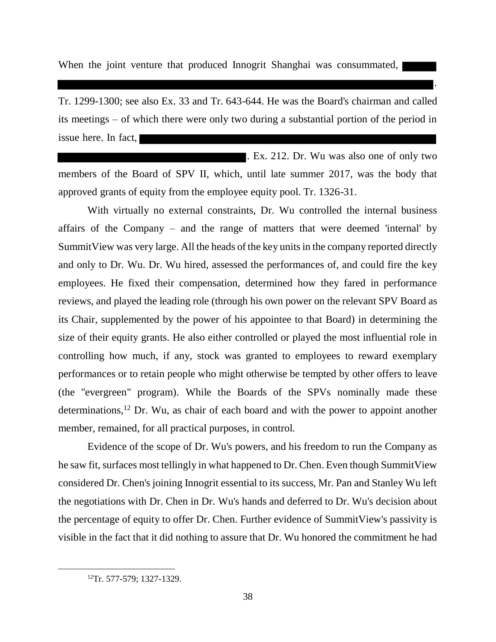When the joint venture that produced Innogrit Shanghai was consummated,

Tr. 1299-1300; see also Ex. 33 and Tr. 643-644. He was the Board's chairman and called its meetings – of which there were only two during a substantial portion of the period in issue here. In fact,

.

. Ex. 212. Dr. Wu was also one of only two members of the Board of SPV II, which, until late summer 2017, was the body that approved grants of equity from the employee equity pool. Tr. 1326-31.

With virtually no external constraints, Dr. Wu controlled the internal business affairs of the Company – and the range of matters that were deemed 'internal' by SummitView was very large. All the heads of the key units in the company reported directly and only to Dr. Wu. Dr. Wu hired, assessed the performances of, and could fire the key employees. He fixed their compensation, determined how they fared in performance reviews, and played the leading role (through his own power on the relevant SPV Board as its Chair, supplemented by the power of his appointee to that Board) in determining the size of their equity grants. He also either controlled or played the most influential role in controlling how much, if any, stock was granted to employees to reward exemplary performances or to retain people who might otherwise be tempted by other offers to leave (the "evergreen" program). While the Boards of the SPVs nominally made these determinations,<sup>12</sup> Dr. Wu, as chair of each board and with the power to appoint another member, remained, for all practical purposes, in control.

Evidence of the scope of Dr. Wu's powers, and his freedom to run the Company as he saw fit, surfaces most tellingly in what happened to Dr. Chen. Even though SummitView considered Dr. Chen's joining Innogrit essential to its success, Mr. Pan and Stanley Wu left the negotiations with Dr. Chen in Dr. Wu's hands and deferred to Dr. Wu's decision about the percentage of equity to offer Dr. Chen. Further evidence of SummitView's passivity is visible in the fact that it did nothing to assure that Dr. Wu honored the commitment he had

<sup>&</sup>lt;sup>12</sup>Tr. 577-579; 1327-1329.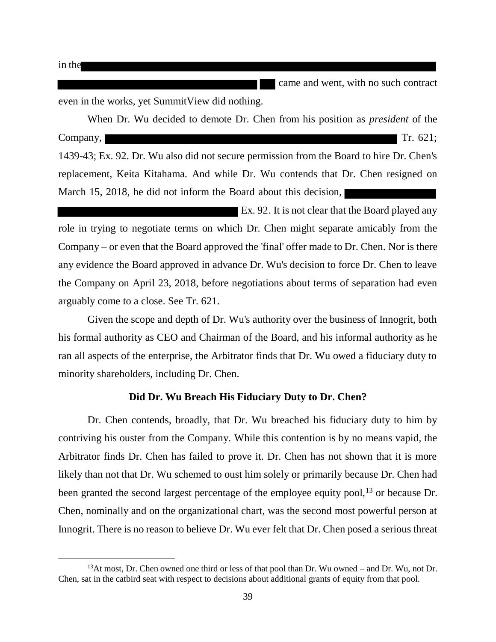$\overline{a}$ 

**Came and went, with no such contract** 

even in the works, yet SummitView did nothing.

When Dr. Wu decided to demote Dr. Chen from his position as *president* of the Company, Tr. 621; 1439-43; Ex. 92. Dr. Wu also did not secure permission from the Board to hire Dr. Chen's replacement, Keita Kitahama. And while Dr. Wu contends that Dr. Chen resigned on March 15, 2018, he did not inform the Board about this decision,

Ex. 92. It is not clear that the Board played any role in trying to negotiate terms on which Dr. Chen might separate amicably from the Company – or even that the Board approved the 'final' offer made to Dr. Chen. Nor is there any evidence the Board approved in advance Dr. Wu's decision to force Dr. Chen to leave the Company on April 23, 2018, before negotiations about terms of separation had even arguably come to a close. See Tr. 621.

Given the scope and depth of Dr. Wu's authority over the business of Innogrit, both his formal authority as CEO and Chairman of the Board, and his informal authority as he ran all aspects of the enterprise, the Arbitrator finds that Dr. Wu owed a fiduciary duty to minority shareholders, including Dr. Chen.

## **Did Dr. Wu Breach His Fiduciary Duty to Dr. Chen?**

Dr. Chen contends, broadly, that Dr. Wu breached his fiduciary duty to him by contriving his ouster from the Company. While this contention is by no means vapid, the Arbitrator finds Dr. Chen has failed to prove it. Dr. Chen has not shown that it is more likely than not that Dr. Wu schemed to oust him solely or primarily because Dr. Chen had been granted the second largest percentage of the employee equity pool,<sup>13</sup> or because Dr. Chen, nominally and on the organizational chart, was the second most powerful person at Innogrit. There is no reason to believe Dr. Wu ever felt that Dr. Chen posed a serious threat

<sup>&</sup>lt;sup>13</sup>At most, Dr. Chen owned one third or less of that pool than Dr. Wu owned – and Dr. Wu, not Dr. Chen, sat in the catbird seat with respect to decisions about additional grants of equity from that pool.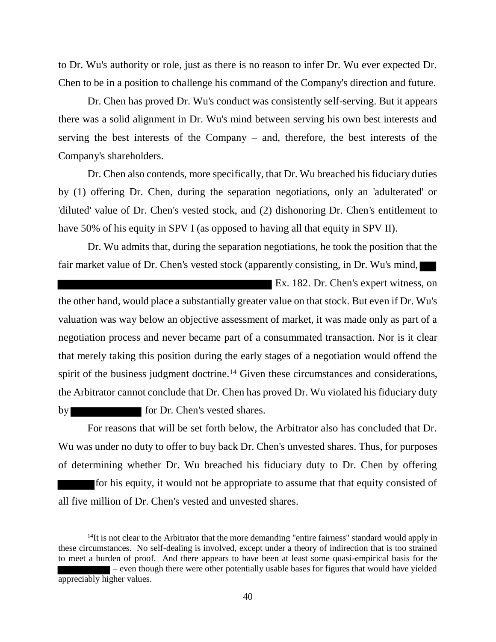to Dr. Wu's authority or role, just as there is no reason to infer Dr. Wu ever expected Dr. Chen to be in a position to challenge his command of the Company's direction and future.

Dr. Chen has proved Dr. Wu's conduct was consistently self-serving. But it appears there was a solid alignment in Dr. Wu's mind between serving his own best interests and serving the best interests of the Company – and, therefore, the best interests of the Company's shareholders.

Dr. Chen also contends, more specifically, that Dr. Wu breached his fiduciary duties by (1) offering Dr. Chen, during the separation negotiations, only an 'adulterated' or 'diluted' value of Dr. Chen's vested stock, and (2) dishonoring Dr. Chen's entitlement to have 50% of his equity in SPV I (as opposed to having all that equity in SPV II).

Dr. Wu admits that, during the separation negotiations, he took the position that the fair market value of Dr. Chen's vested stock (apparently consisting, in Dr. Wu's mind,

Ex. 182. Dr. Chen's expert witness, on the other hand, would place a substantially greater value on that stock. But even if Dr. Wu's valuation was way below an objective assessment of market, it was made only as part of a negotiation process and never became part of a consummated transaction. Nor is it clear that merely taking this position during the early stages of a negotiation would offend the spirit of the business judgment doctrine.<sup>14</sup> Given these circumstances and considerations, the Arbitrator cannot conclude that Dr. Chen has proved Dr. Wu violated his fiduciary duty by for Dr. Chen's vested shares.

For reasons that will be set forth below, the Arbitrator also has concluded that Dr. Wu was under no duty to offer to buy back Dr. Chen's unvested shares. Thus, for purposes of determining whether Dr. Wu breached his fiduciary duty to Dr. Chen by offering

for his equity, it would not be appropriate to assume that that equity consisted of all five million of Dr. Chen's vested and unvested shares.

 $<sup>14</sup>$ It is not clear to the Arbitrator that the more demanding "entire fairness" standard would apply in</sup> these circumstances. No self-dealing is involved, except under a theory of indirection that is too strained to meet a burden of proof. And there appears to have been at least some quasi-empirical basis for the – even though there were other potentially usable bases for figures that would have yielded

appreciably higher values.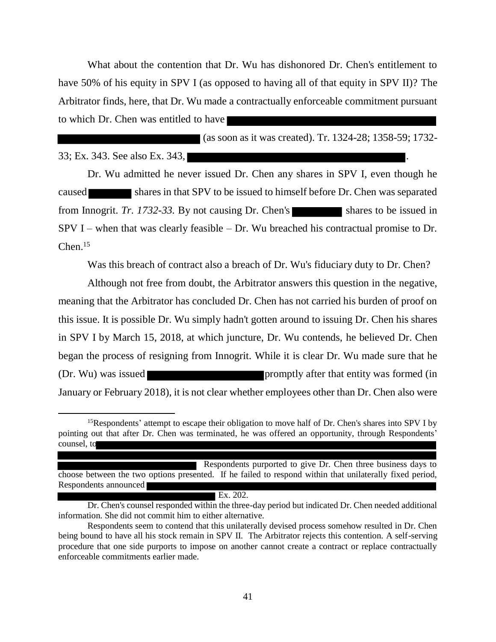What about the contention that Dr. Wu has dishonored Dr. Chen's entitlement to have 50% of his equity in SPV I (as opposed to having all of that equity in SPV II)? The Arbitrator finds, here, that Dr. Wu made a contractually enforceable commitment pursuant to which Dr. Chen was entitled to have

(as soon as it was created). Tr. 1324-28; 1358-59; 1732-

33; Ex. 343. See also Ex. 343,

 $\overline{a}$ 

Dr. Wu admitted he never issued Dr. Chen any shares in SPV I, even though he caused shares in that SPV to be issued to himself before Dr. Chen was separated from Innogrit. *Tr.* 1732-33. By not causing Dr. Chen's shares to be issued in  $SPV I$  – when that was clearly feasible – Dr. Wu breached his contractual promise to Dr.  $Chen<sup>15</sup>$ 

Was this breach of contract also a breach of Dr. Wu's fiduciary duty to Dr. Chen?

Although not free from doubt, the Arbitrator answers this question in the negative, meaning that the Arbitrator has concluded Dr. Chen has not carried his burden of proof on this issue. It is possible Dr. Wu simply hadn't gotten around to issuing Dr. Chen his shares in SPV I by March 15, 2018, at which juncture, Dr. Wu contends, he believed Dr. Chen began the process of resigning from Innogrit. While it is clear Dr. Wu made sure that he (Dr. Wu) was issued **promptly** after that entity was formed (in January or February 2018), it is not clear whether employees other than Dr. Chen also were

Ex. 202.

<sup>&</sup>lt;sup>15</sup>Respondents' attempt to escape their obligation to move half of Dr. Chen's shares into SPV I by pointing out that after Dr. Chen was terminated, he was offered an opportunity, through Respondents' counsel, to

Respondents purported to give Dr. Chen three business days to choose between the two options presented. If he failed to respond within that unilaterally fixed period, Respondents announced

Dr. Chen's counsel responded within the three-day period but indicated Dr. Chen needed additional information. She did not commit him to either alternative.

Respondents seem to contend that this unilaterally devised process somehow resulted in Dr. Chen being bound to have all his stock remain in SPV II. The Arbitrator rejects this contention. A self-serving procedure that one side purports to impose on another cannot create a contract or replace contractually enforceable commitments earlier made.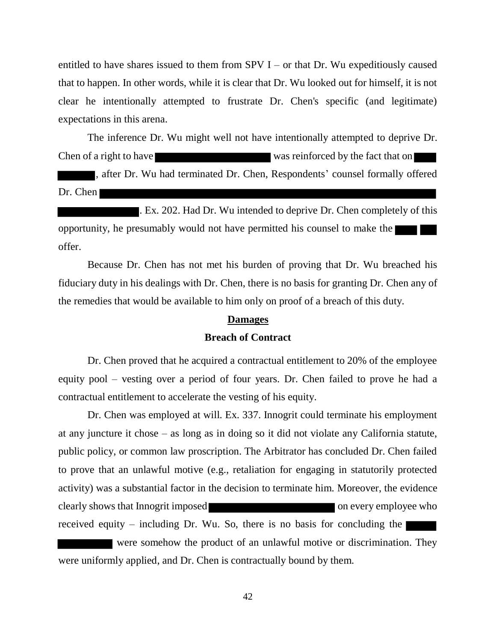entitled to have shares issued to them from SPV  $I$  – or that Dr. Wu expeditiously caused that to happen. In other words, while it is clear that Dr. Wu looked out for himself, it is not clear he intentionally attempted to frustrate Dr. Chen's specific (and legitimate) expectations in this arena.

The inference Dr. Wu might well not have intentionally attempted to deprive Dr. Chen of a right to have was reinforced by the fact that on , after Dr. Wu had terminated Dr. Chen, Respondents' counsel formally offered Dr. Chen

Ex. 202. Had Dr. Wu intended to deprive Dr. Chen completely of this opportunity, he presumably would not have permitted his counsel to make the offer.

Because Dr. Chen has not met his burden of proving that Dr. Wu breached his fiduciary duty in his dealings with Dr. Chen, there is no basis for granting Dr. Chen any of the remedies that would be available to him only on proof of a breach of this duty.

#### **Damages**

# **Breach of Contract**

Dr. Chen proved that he acquired a contractual entitlement to 20% of the employee equity pool – vesting over a period of four years. Dr. Chen failed to prove he had a contractual entitlement to accelerate the vesting of his equity.

Dr. Chen was employed at will. Ex. 337. Innogrit could terminate his employment at any juncture it chose – as long as in doing so it did not violate any California statute, public policy, or common law proscription. The Arbitrator has concluded Dr. Chen failed to prove that an unlawful motive (e.g., retaliation for engaging in statutorily protected activity) was a substantial factor in the decision to terminate him. Moreover, the evidence clearly shows that Innogrit imposed on every employee who received equity – including Dr. Wu. So, there is no basis for concluding the were somehow the product of an unlawful motive or discrimination. They were uniformly applied, and Dr. Chen is contractually bound by them.

42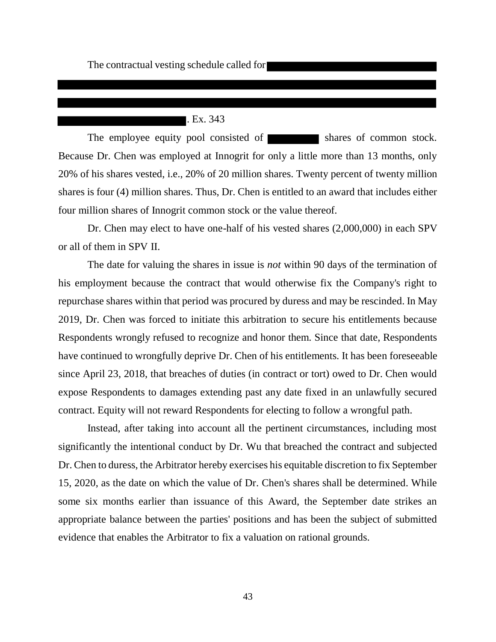# **.** Ex. 343

The employee equity pool consisted of shares of common stock. Because Dr. Chen was employed at Innogrit for only a little more than 13 months, only 20% of his shares vested, i.e., 20% of 20 million shares. Twenty percent of twenty million shares is four (4) million shares. Thus, Dr. Chen is entitled to an award that includes either four million shares of Innogrit common stock or the value thereof.

Dr. Chen may elect to have one-half of his vested shares (2,000,000) in each SPV or all of them in SPV II.

The date for valuing the shares in issue is *not* within 90 days of the termination of his employment because the contract that would otherwise fix the Company's right to repurchase shares within that period was procured by duress and may be rescinded. In May 2019, Dr. Chen was forced to initiate this arbitration to secure his entitlements because Respondents wrongly refused to recognize and honor them. Since that date, Respondents have continued to wrongfully deprive Dr. Chen of his entitlements. It has been foreseeable since April 23, 2018, that breaches of duties (in contract or tort) owed to Dr. Chen would expose Respondents to damages extending past any date fixed in an unlawfully secured contract. Equity will not reward Respondents for electing to follow a wrongful path.

Instead, after taking into account all the pertinent circumstances, including most significantly the intentional conduct by Dr. Wu that breached the contract and subjected Dr. Chen to duress, the Arbitrator hereby exercises his equitable discretion to fix September 15, 2020, as the date on which the value of Dr. Chen's shares shall be determined. While some six months earlier than issuance of this Award, the September date strikes an appropriate balance between the parties' positions and has been the subject of submitted evidence that enables the Arbitrator to fix a valuation on rational grounds.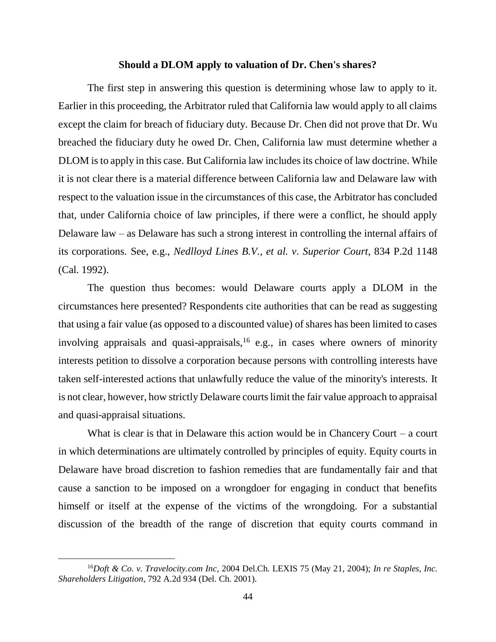### **Should a DLOM apply to valuation of Dr. Chen's shares?**

The first step in answering this question is determining whose law to apply to it. Earlier in this proceeding, the Arbitrator ruled that California law would apply to all claims except the claim for breach of fiduciary duty. Because Dr. Chen did not prove that Dr. Wu breached the fiduciary duty he owed Dr. Chen, California law must determine whether a DLOM is to apply in this case. But California law includes its choice of law doctrine. While it is not clear there is a material difference between California law and Delaware law with respect to the valuation issue in the circumstances of this case, the Arbitrator has concluded that, under California choice of law principles, if there were a conflict, he should apply Delaware law – as Delaware has such a strong interest in controlling the internal affairs of its corporations. See, e.g., *Nedlloyd Lines B.V., et al. v. Superior Court*, 834 P.2d 1148 (Cal. 1992).

The question thus becomes: would Delaware courts apply a DLOM in the circumstances here presented? Respondents cite authorities that can be read as suggesting that using a fair value (as opposed to a discounted value) of shares has been limited to cases involving appraisals and quasi-appraisals,<sup>16</sup> e.g., in cases where owners of minority interests petition to dissolve a corporation because persons with controlling interests have taken self-interested actions that unlawfully reduce the value of the minority's interests. It is not clear, however, how strictly Delaware courts limit the fair value approach to appraisal and quasi-appraisal situations.

What is clear is that in Delaware this action would be in Chancery Court – a court in which determinations are ultimately controlled by principles of equity. Equity courts in Delaware have broad discretion to fashion remedies that are fundamentally fair and that cause a sanction to be imposed on a wrongdoer for engaging in conduct that benefits himself or itself at the expense of the victims of the wrongdoing. For a substantial discussion of the breadth of the range of discretion that equity courts command in

<sup>16</sup>*Doft & Co. v. Travelocity.com Inc*, 2004 Del.Ch. LEXIS 75 (May 21, 2004); *In re Staples, Inc. Shareholders Litigation*, 792 A.2d 934 (Del. Ch. 2001).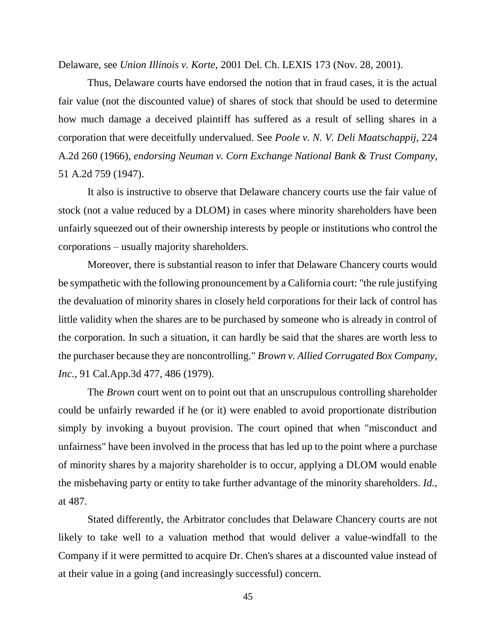Delaware, see *Union Illinois v. Korte*, 2001 Del. Ch. LEXIS 173 (Nov. 28, 2001).

Thus, Delaware courts have endorsed the notion that in fraud cases, it is the actual fair value (not the discounted value) of shares of stock that should be used to determine how much damage a deceived plaintiff has suffered as a result of selling shares in a corporation that were deceitfully undervalued. See *Poole v. N. V. Deli Maatschappij,* 224 A.2d 260 (1966)*, endorsing Neuman v. Corn Exchange National Bank & Trust Company*, 51 A.2d 759 (1947).

 It also is instructive to observe that Delaware chancery courts use the fair value of stock (not a value reduced by a DLOM) in cases where minority shareholders have been unfairly squeezed out of their ownership interests by people or institutions who control the corporations – usually majority shareholders.

Moreover, there is substantial reason to infer that Delaware Chancery courts would be sympathetic with the following pronouncement by a California court: "the rule justifying the devaluation of minority shares in closely held corporations for their lack of control has little validity when the shares are to be purchased by someone who is already in control of the corporation. In such a situation, it can hardly be said that the shares are worth less to the purchaser because they are noncontrolling." *Brown v. Allied Corrugated Box Company, Inc.*, 91 Cal.App.3d 477, 486 (1979).

The *Brown* court went on to point out that an unscrupulous controlling shareholder could be unfairly rewarded if he (or it) were enabled to avoid proportionate distribution simply by invoking a buyout provision. The court opined that when "misconduct and unfairness" have been involved in the process that has led up to the point where a purchase of minority shares by a majority shareholder is to occur, applying a DLOM would enable the misbehaving party or entity to take further advantage of the minority shareholders. *Id.*, at 487.

Stated differently, the Arbitrator concludes that Delaware Chancery courts are not likely to take well to a valuation method that would deliver a value-windfall to the Company if it were permitted to acquire Dr. Chen's shares at a discounted value instead of at their value in a going (and increasingly successful) concern.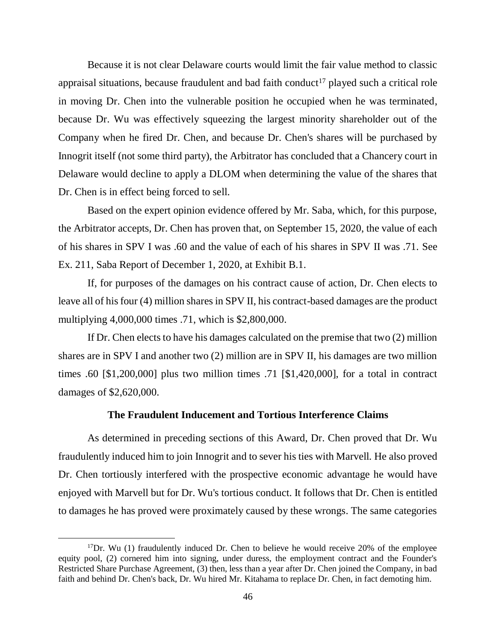Because it is not clear Delaware courts would limit the fair value method to classic appraisal situations, because fraudulent and bad faith conduct<sup>17</sup> played such a critical role in moving Dr. Chen into the vulnerable position he occupied when he was terminated, because Dr. Wu was effectively squeezing the largest minority shareholder out of the Company when he fired Dr. Chen, and because Dr. Chen's shares will be purchased by Innogrit itself (not some third party), the Arbitrator has concluded that a Chancery court in Delaware would decline to apply a DLOM when determining the value of the shares that Dr. Chen is in effect being forced to sell.

Based on the expert opinion evidence offered by Mr. Saba, which, for this purpose, the Arbitrator accepts, Dr. Chen has proven that, on September 15, 2020, the value of each of his shares in SPV I was .60 and the value of each of his shares in SPV II was .71. See Ex. 211, Saba Report of December 1, 2020, at Exhibit B.1.

If, for purposes of the damages on his contract cause of action, Dr. Chen elects to leave all of his four (4) million shares in SPV II, his contract-based damages are the product multiplying 4,000,000 times .71, which is \$2,800,000.

If Dr. Chen elects to have his damages calculated on the premise that two (2) million shares are in SPV I and another two (2) million are in SPV II, his damages are two million times .60 [\$1,200,000] plus two million times .71 [\$1,420,000], for a total in contract damages of \$2,620,000.

# **The Fraudulent Inducement and Tortious Interference Claims**

As determined in preceding sections of this Award, Dr. Chen proved that Dr. Wu fraudulently induced him to join Innogrit and to sever his ties with Marvell. He also proved Dr. Chen tortiously interfered with the prospective economic advantage he would have enjoyed with Marvell but for Dr. Wu's tortious conduct. It follows that Dr. Chen is entitled to damages he has proved were proximately caused by these wrongs. The same categories

 $17$ Dr. Wu (1) fraudulently induced Dr. Chen to believe he would receive 20% of the employee equity pool, (2) cornered him into signing, under duress, the employment contract and the Founder's Restricted Share Purchase Agreement, (3) then, less than a year after Dr. Chen joined the Company, in bad faith and behind Dr. Chen's back, Dr. Wu hired Mr. Kitahama to replace Dr. Chen, in fact demoting him.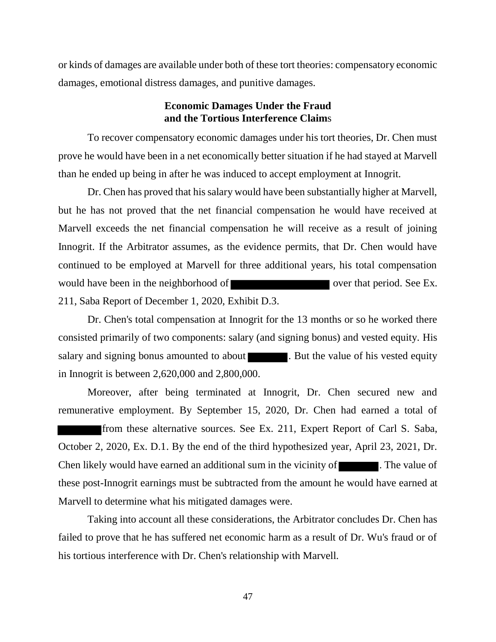or kinds of damages are available under both of these tort theories: compensatory economic damages, emotional distress damages, and punitive damages.

# **Economic Damages Under the Fraud and the Tortious Interference Claim**s

To recover compensatory economic damages under his tort theories, Dr. Chen must prove he would have been in a net economically better situation if he had stayed at Marvell than he ended up being in after he was induced to accept employment at Innogrit.

Dr. Chen has proved that his salary would have been substantially higher at Marvell, but he has not proved that the net financial compensation he would have received at Marvell exceeds the net financial compensation he will receive as a result of joining Innogrit. If the Arbitrator assumes, as the evidence permits, that Dr. Chen would have continued to be employed at Marvell for three additional years, his total compensation would have been in the neighborhood of over that period. See Ex. 211, Saba Report of December 1, 2020, Exhibit D.3.

Dr. Chen's total compensation at Innogrit for the 13 months or so he worked there consisted primarily of two components: salary (and signing bonus) and vested equity. His salary and signing bonus amounted to about . But the value of his vested equity in Innogrit is between 2,620,000 and 2,800,000.

Moreover, after being terminated at Innogrit, Dr. Chen secured new and remunerative employment. By September 15, 2020, Dr. Chen had earned a total of from these alternative sources. See Ex. 211, Expert Report of Carl S. Saba, October 2, 2020, Ex. D.1. By the end of the third hypothesized year, April 23, 2021, Dr. Chen likely would have earned an additional sum in the vicinity of **The value of** . The value of these post-Innogrit earnings must be subtracted from the amount he would have earned at Marvell to determine what his mitigated damages were.

Taking into account all these considerations, the Arbitrator concludes Dr. Chen has failed to prove that he has suffered net economic harm as a result of Dr. Wu's fraud or of his tortious interference with Dr. Chen's relationship with Marvell.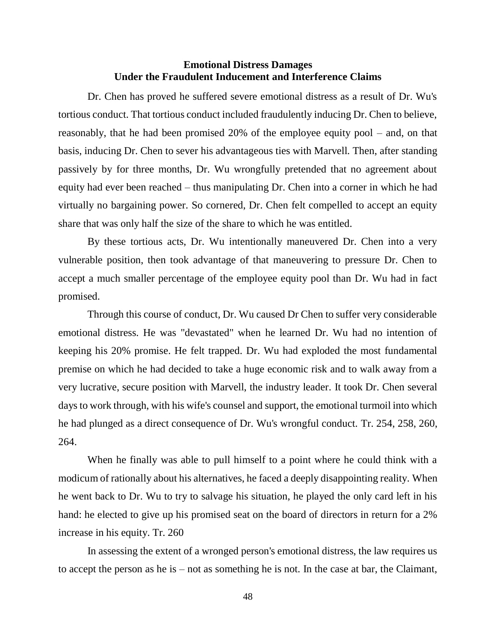## **Emotional Distress Damages Under the Fraudulent Inducement and Interference Claims**

Dr. Chen has proved he suffered severe emotional distress as a result of Dr. Wu's tortious conduct. That tortious conduct included fraudulently inducing Dr. Chen to believe, reasonably, that he had been promised 20% of the employee equity pool – and, on that basis, inducing Dr. Chen to sever his advantageous ties with Marvell. Then, after standing passively by for three months, Dr. Wu wrongfully pretended that no agreement about equity had ever been reached – thus manipulating Dr. Chen into a corner in which he had virtually no bargaining power. So cornered, Dr. Chen felt compelled to accept an equity share that was only half the size of the share to which he was entitled.

By these tortious acts, Dr. Wu intentionally maneuvered Dr. Chen into a very vulnerable position, then took advantage of that maneuvering to pressure Dr. Chen to accept a much smaller percentage of the employee equity pool than Dr. Wu had in fact promised.

Through this course of conduct, Dr. Wu caused Dr Chen to suffer very considerable emotional distress. He was "devastated" when he learned Dr. Wu had no intention of keeping his 20% promise. He felt trapped. Dr. Wu had exploded the most fundamental premise on which he had decided to take a huge economic risk and to walk away from a very lucrative, secure position with Marvell, the industry leader. It took Dr. Chen several days to work through, with his wife's counsel and support, the emotional turmoil into which he had plunged as a direct consequence of Dr. Wu's wrongful conduct. Tr. 254, 258, 260, 264.

When he finally was able to pull himself to a point where he could think with a modicum of rationally about his alternatives, he faced a deeply disappointing reality. When he went back to Dr. Wu to try to salvage his situation, he played the only card left in his hand: he elected to give up his promised seat on the board of directors in return for a 2% increase in his equity. Tr. 260

In assessing the extent of a wronged person's emotional distress, the law requires us to accept the person as he is – not as something he is not. In the case at bar, the Claimant,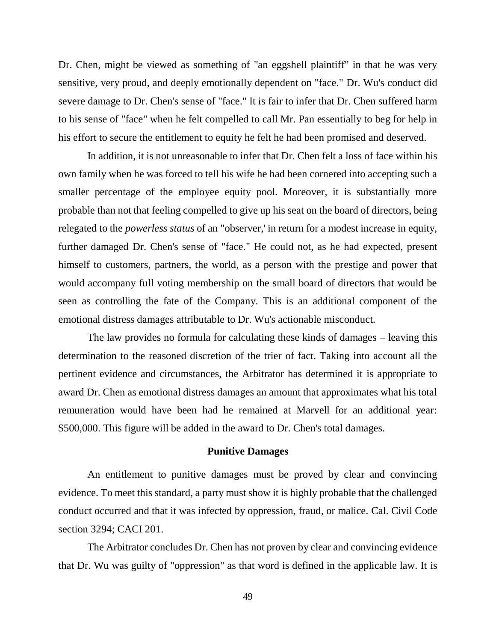Dr. Chen, might be viewed as something of "an eggshell plaintiff" in that he was very sensitive, very proud, and deeply emotionally dependent on "face." Dr. Wu's conduct did severe damage to Dr. Chen's sense of "face." It is fair to infer that Dr. Chen suffered harm to his sense of "face" when he felt compelled to call Mr. Pan essentially to beg for help in his effort to secure the entitlement to equity he felt he had been promised and deserved.

In addition, it is not unreasonable to infer that Dr. Chen felt a loss of face within his own family when he was forced to tell his wife he had been cornered into accepting such a smaller percentage of the employee equity pool. Moreover, it is substantially more probable than not that feeling compelled to give up his seat on the board of directors, being relegated to the *powerless status* of an "observer,' in return for a modest increase in equity, further damaged Dr. Chen's sense of "face." He could not, as he had expected, present himself to customers, partners, the world, as a person with the prestige and power that would accompany full voting membership on the small board of directors that would be seen as controlling the fate of the Company. This is an additional component of the emotional distress damages attributable to Dr. Wu's actionable misconduct.

The law provides no formula for calculating these kinds of damages – leaving this determination to the reasoned discretion of the trier of fact. Taking into account all the pertinent evidence and circumstances, the Arbitrator has determined it is appropriate to award Dr. Chen as emotional distress damages an amount that approximates what his total remuneration would have been had he remained at Marvell for an additional year: \$500,000. This figure will be added in the award to Dr. Chen's total damages.

## **Punitive Damages**

An entitlement to punitive damages must be proved by clear and convincing evidence. To meet this standard, a party must show it is highly probable that the challenged conduct occurred and that it was infected by oppression, fraud, or malice. Cal. Civil Code section 3294; CACI 201.

The Arbitrator concludes Dr. Chen has not proven by clear and convincing evidence that Dr. Wu was guilty of "oppression" as that word is defined in the applicable law. It is

49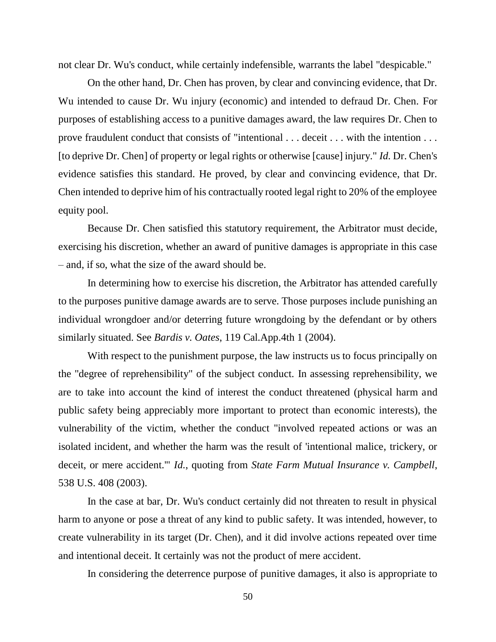not clear Dr. Wu's conduct, while certainly indefensible, warrants the label "despicable."

On the other hand, Dr. Chen has proven, by clear and convincing evidence, that Dr. Wu intended to cause Dr. Wu injury (economic) and intended to defraud Dr. Chen. For purposes of establishing access to a punitive damages award, the law requires Dr. Chen to prove fraudulent conduct that consists of "intentional . . . deceit . . . with the intention . . . [to deprive Dr. Chen] of property or legal rights or otherwise [cause] injury." *Id.* Dr. Chen's evidence satisfies this standard. He proved, by clear and convincing evidence, that Dr. Chen intended to deprive him of his contractually rooted legal right to 20% of the employee equity pool.

Because Dr. Chen satisfied this statutory requirement, the Arbitrator must decide, exercising his discretion, whether an award of punitive damages is appropriate in this case – and, if so, what the size of the award should be.

In determining how to exercise his discretion, the Arbitrator has attended carefully to the purposes punitive damage awards are to serve. Those purposes include punishing an individual wrongdoer and/or deterring future wrongdoing by the defendant or by others similarly situated. See *Bardis v. Oates*, 119 Cal.App.4th 1 (2004).

With respect to the punishment purpose, the law instructs us to focus principally on the "degree of reprehensibility" of the subject conduct. In assessing reprehensibility, we are to take into account the kind of interest the conduct threatened (physical harm and public safety being appreciably more important to protect than economic interests), the vulnerability of the victim, whether the conduct "involved repeated actions or was an isolated incident, and whether the harm was the result of 'intentional malice, trickery, or deceit, or mere accident.'" *Id.*, quoting from *State Farm Mutual Insurance v. Campbell*, 538 U.S. 408 (2003).

In the case at bar, Dr. Wu's conduct certainly did not threaten to result in physical harm to anyone or pose a threat of any kind to public safety. It was intended, however, to create vulnerability in its target (Dr. Chen), and it did involve actions repeated over time and intentional deceit. It certainly was not the product of mere accident.

In considering the deterrence purpose of punitive damages, it also is appropriate to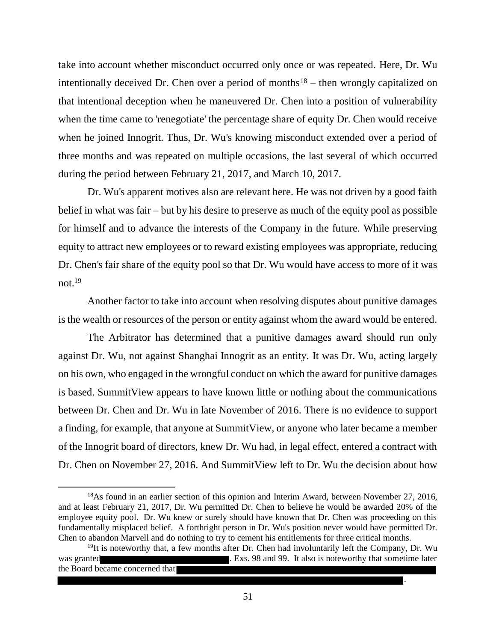take into account whether misconduct occurred only once or was repeated. Here, Dr. Wu intentionally deceived Dr. Chen over a period of months<sup>18</sup> – then wrongly capitalized on that intentional deception when he maneuvered Dr. Chen into a position of vulnerability when the time came to 'renegotiate' the percentage share of equity Dr. Chen would receive when he joined Innogrit. Thus, Dr. Wu's knowing misconduct extended over a period of three months and was repeated on multiple occasions, the last several of which occurred during the period between February 21, 2017, and March 10, 2017.

Dr. Wu's apparent motives also are relevant here. He was not driven by a good faith belief in what was fair – but by his desire to preserve as much of the equity pool as possible for himself and to advance the interests of the Company in the future. While preserving equity to attract new employees or to reward existing employees was appropriate, reducing Dr. Chen's fair share of the equity pool so that Dr. Wu would have access to more of it was not  $19$ 

Another factor to take into account when resolving disputes about punitive damages is the wealth or resources of the person or entity against whom the award would be entered.

The Arbitrator has determined that a punitive damages award should run only against Dr. Wu, not against Shanghai Innogrit as an entity. It was Dr. Wu, acting largely on his own, who engaged in the wrongful conduct on which the award for punitive damages is based. SummitView appears to have known little or nothing about the communications between Dr. Chen and Dr. Wu in late November of 2016. There is no evidence to support a finding, for example, that anyone at SummitView, or anyone who later became a member of the Innogrit board of directors, knew Dr. Wu had, in legal effect, entered a contract with Dr. Chen on November 27, 2016. And SummitView left to Dr. Wu the decision about how

 $\overline{a}$ 

.

<sup>&</sup>lt;sup>18</sup>As found in an earlier section of this opinion and Interim Award, between November 27, 2016, and at least February 21, 2017, Dr. Wu permitted Dr. Chen to believe he would be awarded 20% of the employee equity pool. Dr. Wu knew or surely should have known that Dr. Chen was proceeding on this fundamentally misplaced belief. A forthright person in Dr. Wu's position never would have permitted Dr. Chen to abandon Marvell and do nothing to try to cement his entitlements for three critical months.

 $19$ It is noteworthy that, a few months after Dr. Chen had involuntarily left the Company, Dr. Wu was granted **.** Exs. 98 and 99. It also is noteworthy that sometime later the Board became concerned that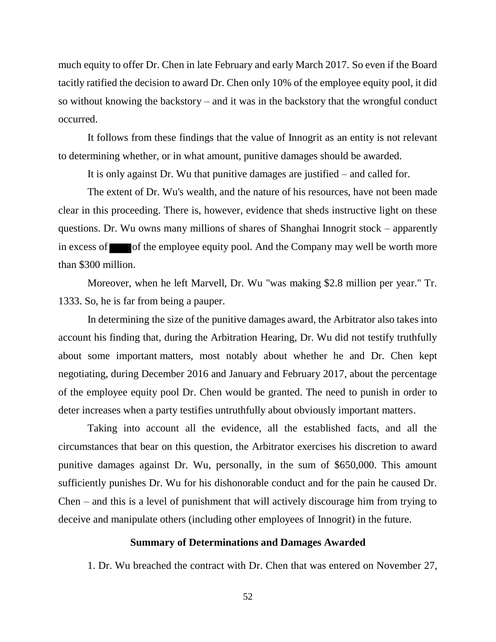much equity to offer Dr. Chen in late February and early March 2017. So even if the Board tacitly ratified the decision to award Dr. Chen only 10% of the employee equity pool, it did so without knowing the backstory – and it was in the backstory that the wrongful conduct occurred.

It follows from these findings that the value of Innogrit as an entity is not relevant to determining whether, or in what amount, punitive damages should be awarded.

It is only against Dr. Wu that punitive damages are justified – and called for.

The extent of Dr. Wu's wealth, and the nature of his resources, have not been made clear in this proceeding. There is, however, evidence that sheds instructive light on these questions. Dr. Wu owns many millions of shares of Shanghai Innogrit stock – apparently in excess of  $\blacksquare$  of the employee equity pool. And the Company may well be worth more than \$300 million.

Moreover, when he left Marvell, Dr. Wu "was making \$2.8 million per year." Tr. 1333. So, he is far from being a pauper.

In determining the size of the punitive damages award, the Arbitrator also takes into account his finding that, during the Arbitration Hearing, Dr. Wu did not testify truthfully about some important matters, most notably about whether he and Dr. Chen kept negotiating, during December 2016 and January and February 2017, about the percentage of the employee equity pool Dr. Chen would be granted. The need to punish in order to deter increases when a party testifies untruthfully about obviously important matters.

Taking into account all the evidence, all the established facts, and all the circumstances that bear on this question, the Arbitrator exercises his discretion to award punitive damages against Dr. Wu, personally, in the sum of \$650,000. This amount sufficiently punishes Dr. Wu for his dishonorable conduct and for the pain he caused Dr. Chen – and this is a level of punishment that will actively discourage him from trying to deceive and manipulate others (including other employees of Innogrit) in the future.

#### **Summary of Determinations and Damages Awarded**

1. Dr. Wu breached the contract with Dr. Chen that was entered on November 27,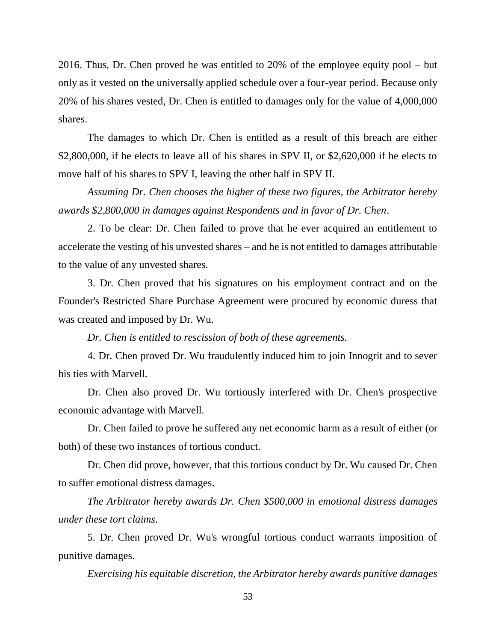2016. Thus, Dr. Chen proved he was entitled to 20% of the employee equity pool – but only as it vested on the universally applied schedule over a four-year period. Because only 20% of his shares vested, Dr. Chen is entitled to damages only for the value of 4,000,000 shares.

The damages to which Dr. Chen is entitled as a result of this breach are either \$2,800,000, if he elects to leave all of his shares in SPV II, or \$2,620,000 if he elects to move half of his shares to SPV I, leaving the other half in SPV II.

*Assuming Dr. Chen chooses the higher of these two figures, the Arbitrator hereby awards \$2,800,000 in damages against Respondents and in favor of Dr. Chen*.

2. To be clear: Dr. Chen failed to prove that he ever acquired an entitlement to accelerate the vesting of his unvested shares – and he is not entitled to damages attributable to the value of any unvested shares.

3. Dr. Chen proved that his signatures on his employment contract and on the Founder's Restricted Share Purchase Agreement were procured by economic duress that was created and imposed by Dr. Wu.

*Dr. Chen is entitled to rescission of both of these agreements.*

4. Dr. Chen proved Dr. Wu fraudulently induced him to join Innogrit and to sever his ties with Marvell.

Dr. Chen also proved Dr. Wu tortiously interfered with Dr. Chen's prospective economic advantage with Marvell.

Dr. Chen failed to prove he suffered any net economic harm as a result of either (or both) of these two instances of tortious conduct.

Dr. Chen did prove, however, that this tortious conduct by Dr. Wu caused Dr. Chen to suffer emotional distress damages.

*The Arbitrator hereby awards Dr. Chen \$500,000 in emotional distress damages under these tort claims*.

5. Dr. Chen proved Dr. Wu's wrongful tortious conduct warrants imposition of punitive damages.

*Exercising his equitable discretion, the Arbitrator hereby awards punitive damages*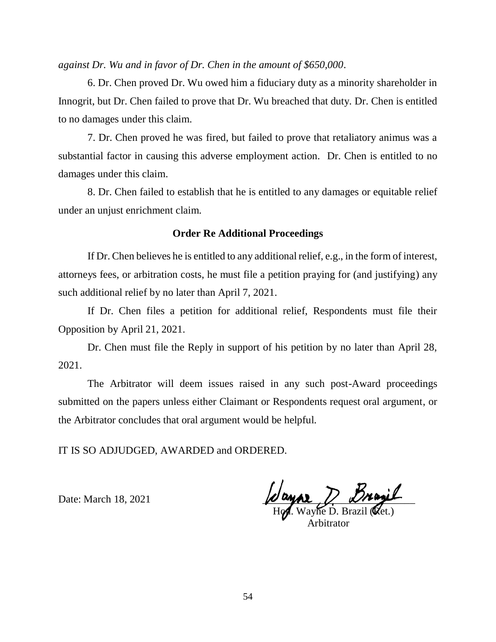*against Dr. Wu and in favor of Dr. Chen in the amount of \$650,000*.

6. Dr. Chen proved Dr. Wu owed him a fiduciary duty as a minority shareholder in Innogrit, but Dr. Chen failed to prove that Dr. Wu breached that duty. Dr. Chen is entitled to no damages under this claim.

7. Dr. Chen proved he was fired, but failed to prove that retaliatory animus was a substantial factor in causing this adverse employment action. Dr. Chen is entitled to no damages under this claim.

8. Dr. Chen failed to establish that he is entitled to any damages or equitable relief under an unjust enrichment claim.

## **Order Re Additional Proceedings**

If Dr. Chen believes he is entitled to any additional relief, e.g., in the form of interest, attorneys fees, or arbitration costs, he must file a petition praying for (and justifying) any such additional relief by no later than April 7, 2021.

If Dr. Chen files a petition for additional relief, Respondents must file their Opposition by April 21, 2021.

Dr. Chen must file the Reply in support of his petition by no later than April 28, 2021.

The Arbitrator will deem issues raised in any such post-Award proceedings submitted on the papers unless either Claimant or Respondents request oral argument, or the Arbitrator concludes that oral argument would be helpful.

IT IS SO ADJUDGED, AWARDED and ORDERED.

Date: March 18, 2021  $\mu$  and  $\mu$  and  $\mu$  and  $\mu$ 

 $H\gamma$ . Wayne D. Brazil ( $Q$ et.) Arbitrator